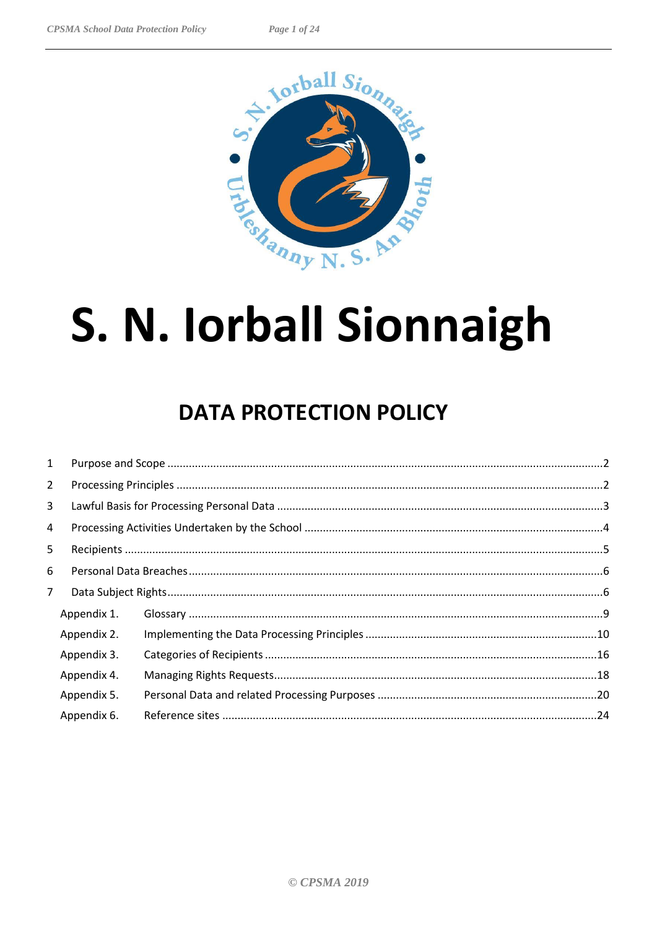

# S. N. Iorball Sionnaigh

# **DATA PROTECTION POLICY**

| $\mathbf{1}$   |             |  |  |
|----------------|-------------|--|--|
| $\overline{2}$ |             |  |  |
| 3              |             |  |  |
| 4              |             |  |  |
| 5              |             |  |  |
| 6              |             |  |  |
| $\overline{7}$ |             |  |  |
|                | Appendix 1. |  |  |
|                | Appendix 2. |  |  |
|                | Appendix 3. |  |  |
|                | Appendix 4. |  |  |
|                | Appendix 5. |  |  |
|                | Appendix 6. |  |  |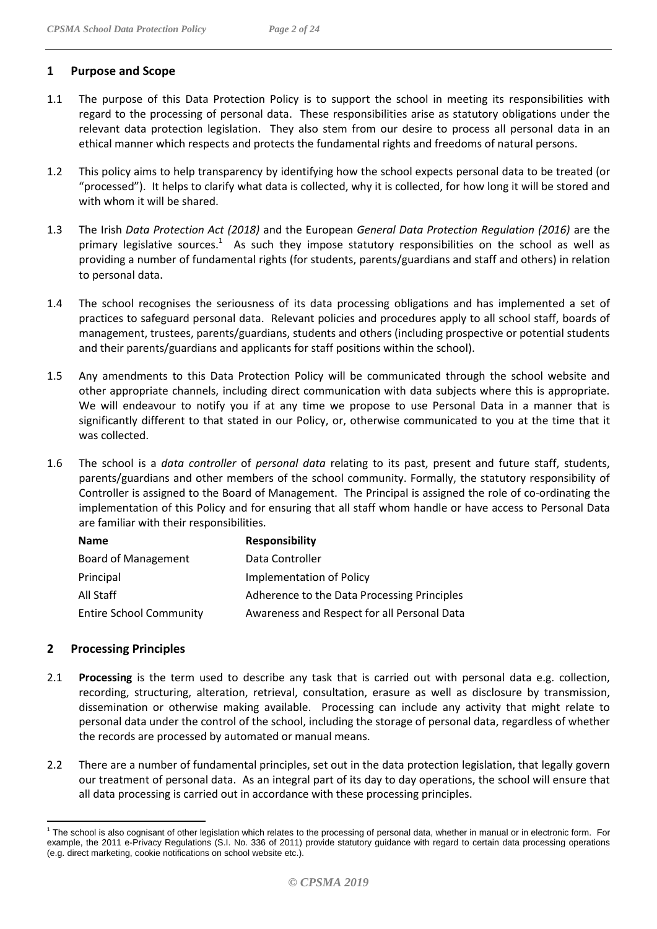- <span id="page-1-0"></span>1.2 This policy aims to help transparency by identifying how the school expects personal data to be treated (or "processed"). It helps to clarify what data is collected, why it is collected, for how long it will be stored and with whom it will be shared.
- 1.3 The Irish *Data Protection Act (2018)* and the European *General Data Protection Regulation (2016)* are the primary legislative sources.<sup>1</sup> As such they impose statutory responsibilities on the school as well as providing a number of fundamental rights (for students, parents/guardians and staff and others) in relation to personal data.
- 1.4 The school recognises the seriousness of its data processing obligations and has implemented a set of practices to safeguard personal data. Relevant policies and procedures apply to all school staff, boards of management, trustees, parents/guardians, students and others (including prospective or potential students and their parents/guardians and applicants for staff positions within the school).
- 1.5 Any amendments to this Data Protection Policy will be communicated through the school website and other appropriate channels, including direct communication with data subjects where this is appropriate. We will endeavour to notify you if at any time we propose to use Personal Data in a manner that is significantly different to that stated in our Policy, or, otherwise communicated to you at the time that it was collected.
- 1.6 The school is a *data controller* of *personal data* relating to its past, present and future staff, students, parents/guardians and other members of the school community. Formally, the statutory responsibility of Controller is assigned to the Board of Management. The Principal is assigned the role of co-ordinating the implementation of this Policy and for ensuring that all staff whom handle or have access to Personal Data are familiar with their responsibilities.

| <b>Name</b>                    | <b>Responsibility</b>                       |
|--------------------------------|---------------------------------------------|
| Board of Management            | Data Controller                             |
| Principal                      | Implementation of Policy                    |
| All Staff                      | Adherence to the Data Processing Principles |
| <b>Entire School Community</b> | Awareness and Respect for all Personal Data |

#### <span id="page-1-1"></span>**2 Processing Principles**

- 2.1 **Processing** is the term used to describe any task that is carried out with personal data e.g. collection, recording, structuring, alteration, retrieval, consultation, erasure as well as disclosure by transmission, dissemination or otherwise making available. Processing can include any activity that might relate to personal data under the control of the school, including the storage of personal data, regardless of whether the records are processed by automated or manual means.
- 2.2 There are a number of fundamental principles, set out in the data protection legislation, that legally govern our treatment of personal data. As an integral part of its day to day operations, the school will ensure that all data processing is carried out in accordance with these processing principles.

 $\overline{a}$  $1$  The school is also cognisant of other legislation which relates to the processing of personal data, whether in manual or in electronic form. For example, the 2011 e-Privacy Regulations (S.I. No. 336 of 2011) provide statutory guidance with regard to certain data processing operations (e.g. direct marketing, cookie notifications on school website etc.).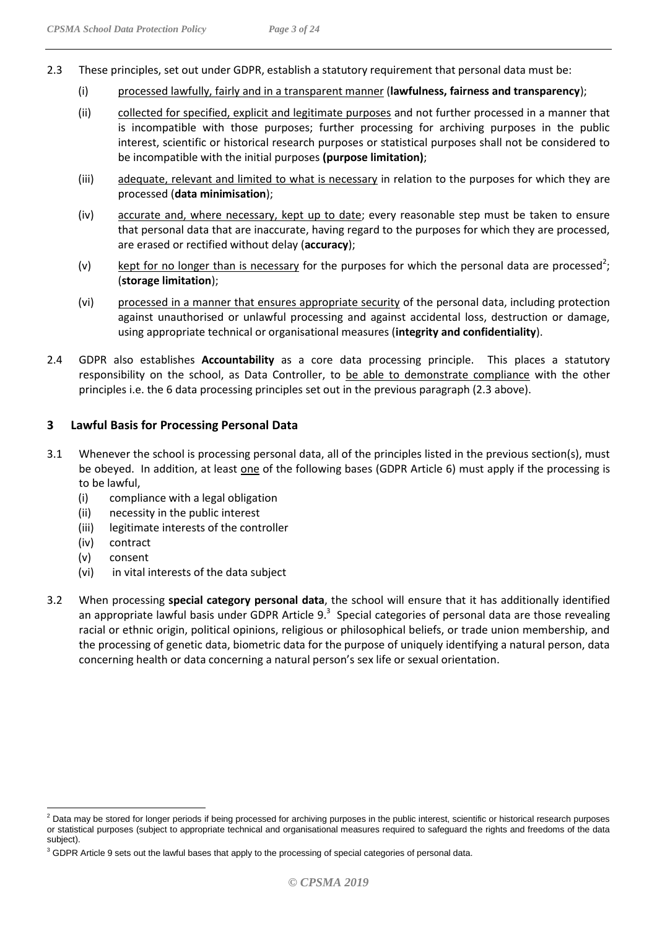- (i) processed lawfully, fairly and in a transparent manner (**lawfulness, fairness and transparency**);
- (ii) collected for specified, explicit and legitimate purposes and not further processed in a manner that is incompatible with those purposes; further processing for archiving purposes in the public interest, scientific or historical research purposes or statistical purposes shall not be considered to be incompatible with the initial purposes **(purpose limitation)**;
- (iii) adequate, relevant and limited to what is necessary in relation to the purposes for which they are processed (**data minimisation**);
- (iv) accurate and, where necessary, kept up to date; every reasonable step must be taken to ensure that personal data that are inaccurate, having regard to the purposes for which they are processed, are erased or rectified without delay (**accuracy**);
- (v) lept for no longer than is necessary for the purposes for which the personal data are processed<sup>2</sup>; (**storage limitation**);
- (vi) processed in a manner that ensures appropriate security of the personal data, including protection against unauthorised or unlawful processing and against accidental loss, destruction or damage, using appropriate technical or organisational measures (**integrity and confidentiality**).
- 2.4 GDPR also establishes **Accountability** as a core data processing principle. This places a statutory responsibility on the school, as Data Controller, to be able to demonstrate compliance with the other principles i.e. the 6 data processing principles set out in the previous paragraph (2.3 above).

#### <span id="page-2-0"></span>**3 Lawful Basis for Processing Personal Data**

- 3.1 Whenever the school is processing personal data, all of the principles listed in the previous section(s), must be obeyed. In addition, at least one of the following bases (GDPR Article 6) must apply if the processing is to be lawful,
	- (i) compliance with a legal obligation
	- (ii) necessity in the public interest
	- (iii) legitimate interests of the controller
	- (iv) contract
	- (v) consent

- (vi) in vital interests of the data subject
- 3.2 When processing **special category personal data**, the school will ensure that it has additionally identified an appropriate lawful basis under GDPR Article  $9.^3$  Special categories of personal data are those revealing racial or ethnic origin, political opinions, religious or philosophical beliefs, or trade union membership, and the processing of genetic data, biometric data for the purpose of uniquely identifying a natural person, data concerning health or data concerning a natural person's sex life or sexual orientation.

 $2$  Data may be stored for longer periods if being processed for archiving purposes in the public interest, scientific or historical research purposes or statistical purposes (subject to appropriate technical and organisational measures required to safeguard the rights and freedoms of the data subject).

<sup>&</sup>lt;sup>3</sup> GDPR Article 9 sets out the lawful bases that apply to the processing of special categories of personal data.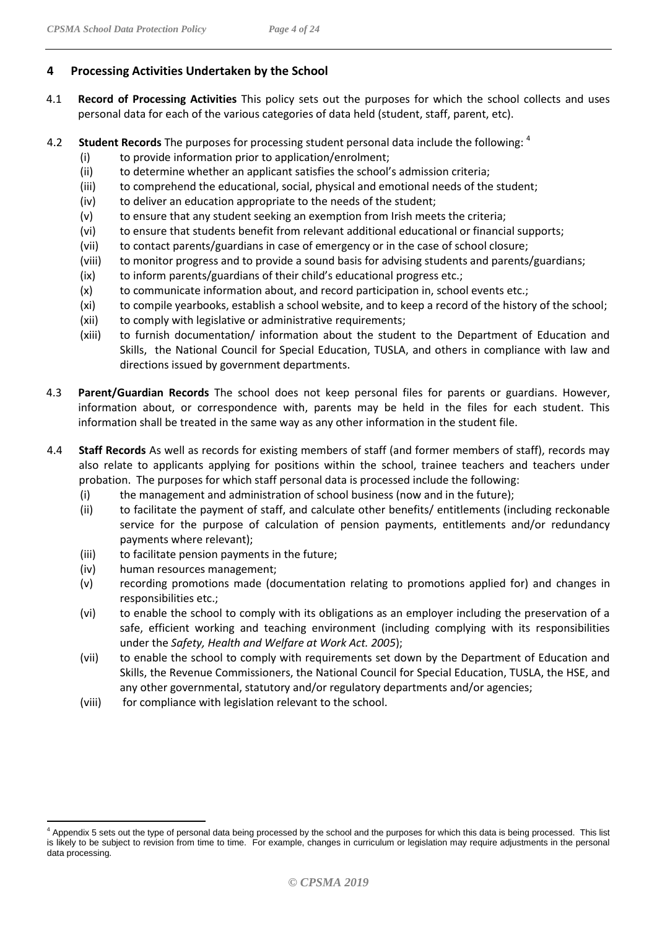#### <span id="page-3-0"></span>**4 Processing Activities Undertaken by the School**

- 4.1 **Record of Processing Activities** This policy sets out the purposes for which the school collects and uses personal data for each of the various categories of data held (student, staff, parent, etc).
- 4.2 **Student Records** The purposes for processing student personal data include the following: 4
	- (i) to provide information prior to application/enrolment;
	- (ii) to determine whether an applicant satisfies the school's admission criteria;
	- (iii) to comprehend the educational, social, physical and emotional needs of the student;
	- (iv) to deliver an education appropriate to the needs of the student;
	- $(v)$  to ensure that any student seeking an exemption from Irish meets the criteria;
	- (vi) to ensure that students benefit from relevant additional educational or financial supports;
	- (vii) to contact parents/guardians in case of emergency or in the case of school closure;
	- (viii) to monitor progress and to provide a sound basis for advising students and parents/guardians;
	- (ix) to inform parents/guardians of their child's educational progress etc.;
	- (x) to communicate information about, and record participation in, school events etc.;
	- (xi) to compile yearbooks, establish a school website, and to keep a record of the history of the school;
	- (xii) to comply with legislative or administrative requirements;
	- (xiii) to furnish documentation/ information about the student to the Department of Education and Skills, the National Council for Special Education, TUSLA, and others in compliance with law and directions issued by government departments.
- 4.3 **Parent/Guardian Records** The school does not keep personal files for parents or guardians. However, information about, or correspondence with, parents may be held in the files for each student. This information shall be treated in the same way as any other information in the student file.
- 4.4 **Staff Records** As well as records for existing members of staff (and former members of staff), records may also relate to applicants applying for positions within the school, trainee teachers and teachers under probation. The purposes for which staff personal data is processed include the following:
	- (i) the management and administration of school business (now and in the future);
	- (ii) to facilitate the payment of staff, and calculate other benefits/ entitlements (including reckonable service for the purpose of calculation of pension payments, entitlements and/or redundancy payments where relevant);
	- (iii) to facilitate pension payments in the future;
	- (iv) human resources management;
	- (v) recording promotions made (documentation relating to promotions applied for) and changes in responsibilities etc.;
	- (vi) to enable the school to comply with its obligations as an employer including the preservation of a safe, efficient working and teaching environment (including complying with its responsibilities under the *Safety, Health and Welfare at Work Act. 2005*);
	- (vii) to enable the school to comply with requirements set down by the Department of Education and Skills, the Revenue Commissioners, the National Council for Special Education, TUSLA, the HSE, and any other governmental, statutory and/or regulatory departments and/or agencies;
	- (viii) for compliance with legislation relevant to the school.

 $\overline{a}$ <sup>4</sup> Appendix 5 sets out the type of personal data being processed by the school and the purposes for which this data is being processed. This list is likely to be subject to revision from time to time. For example, changes in curriculum or legislation may require adjustments in the personal data processing.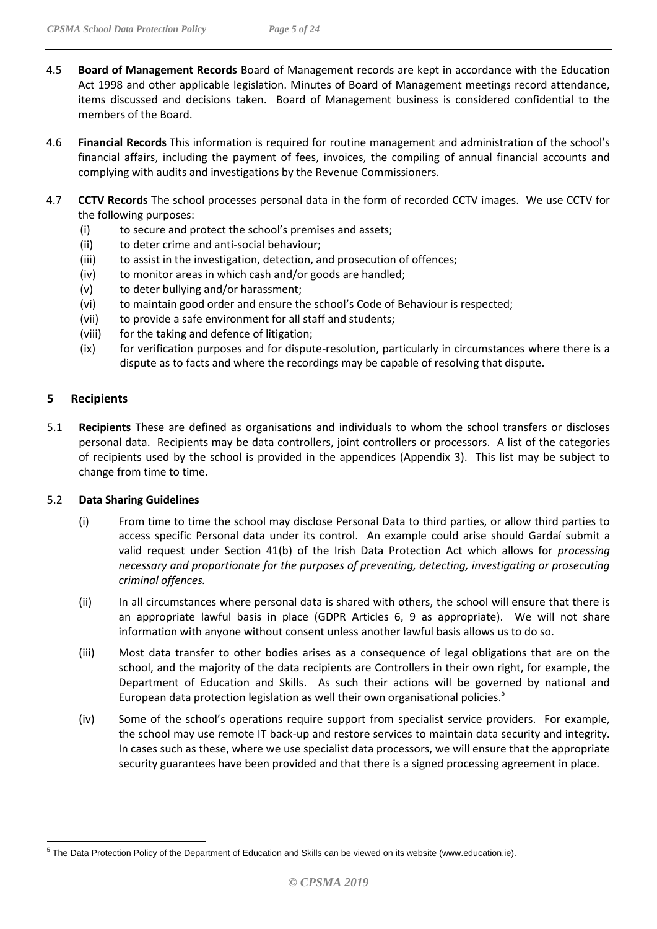- 4.5 **Board of Management Records** Board of Management records are kept in accordance with the Education Act 1998 and other applicable legislation. Minutes of Board of Management meetings record attendance, items discussed and decisions taken. Board of Management business is considered confidential to the members of the Board.
- 4.6 **Financial Records** This information is required for routine management and administration of the school's financial affairs, including the payment of fees, invoices, the compiling of annual financial accounts and complying with audits and investigations by the Revenue Commissioners.
- 4.7 **CCTV Records** The school processes personal data in the form of recorded CCTV images. We use CCTV for the following purposes:
	- (i) to secure and protect the school's premises and assets;
	- (ii) to deter crime and anti-social behaviour;
	- (iii) to assist in the investigation, detection, and prosecution of offences;
	- (iv) to monitor areas in which cash and/or goods are handled;
	- (v) to deter bullying and/or harassment;
	- (vi) to maintain good order and ensure the school's Code of Behaviour is respected;
	- (vii) to provide a safe environment for all staff and students;
	- (viii) for the taking and defence of litigation;
	- (ix) for verification purposes and for dispute-resolution, particularly in circumstances where there is a dispute as to facts and where the recordings may be capable of resolving that dispute.

#### <span id="page-4-0"></span>**5 Recipients**

5.1 **Recipients** These are defined as organisations and individuals to whom the school transfers or discloses personal data. Recipients may be data controllers, joint controllers or processors. A list of the categories of recipients used by the school is provided in the appendices (Appendix 3). This list may be subject to change from time to time.

#### 5.2 **Data Sharing Guidelines**

- (i) From time to time the school may disclose Personal Data to third parties, or allow third parties to access specific Personal data under its control. An example could arise should Gardaí submit a valid request under Section 41(b) of the Irish Data Protection Act which allows for *processing necessary and proportionate for the purposes of preventing, detecting, investigating or prosecuting criminal offences.*
- (ii) In all circumstances where personal data is shared with others, the school will ensure that there is an appropriate lawful basis in place (GDPR Articles 6, 9 as appropriate). We will not share information with anyone without consent unless another lawful basis allows us to do so.
- (iii) Most data transfer to other bodies arises as a consequence of legal obligations that are on the school, and the majority of the data recipients are Controllers in their own right, for example, the Department of Education and Skills. As such their actions will be governed by national and European data protection legislation as well their own organisational policies.<sup>5</sup>
- (iv) Some of the school's operations require support from specialist service providers. For example, the school may use remote IT back-up and restore services to maintain data security and integrity. In cases such as these, where we use specialist data processors, we will ensure that the appropriate security guarantees have been provided and that there is a signed processing agreement in place.

 $\overline{a}$ <sup>5</sup> The Data Protection Policy of the Department of Education and Skills can be viewed on its website (www.education.ie).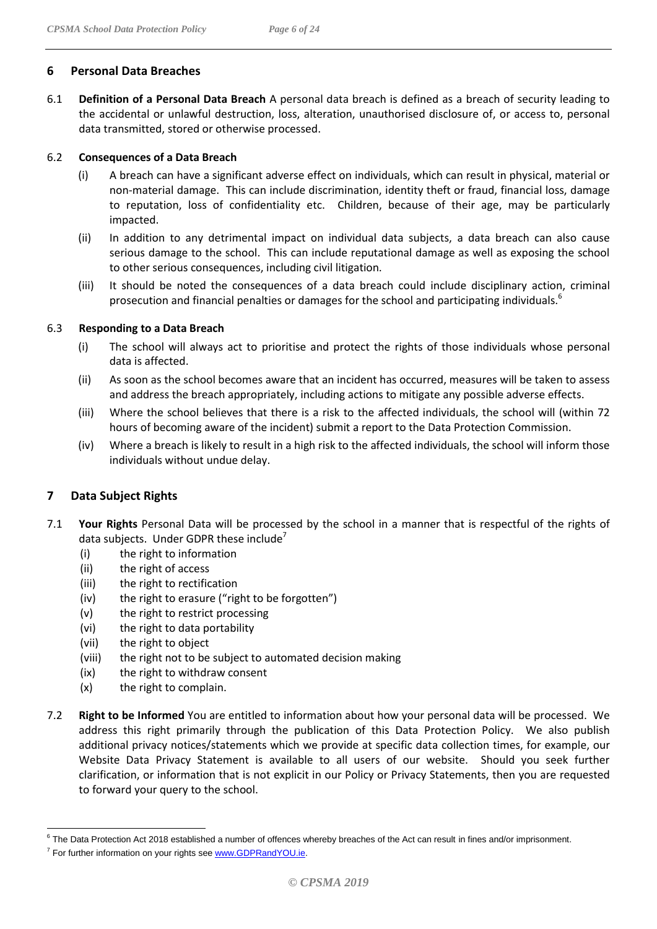#### <span id="page-5-0"></span>**6 Personal Data Breaches**

6.1 **Definition of a Personal Data Breach** A personal data breach is defined as a breach of security leading to the accidental or unlawful destruction, loss, alteration, unauthorised disclosure of, or access to, personal data transmitted, stored or otherwise processed.

#### 6.2 **Consequences of a Data Breach**

- (i) A breach can have a significant adverse effect on individuals, which can result in physical, material or non-material damage. This can include discrimination, identity theft or fraud, financial loss, damage to reputation, loss of confidentiality etc. Children, because of their age, may be particularly impacted.
- (ii) In addition to any detrimental impact on individual data subjects, a data breach can also cause serious damage to the school. This can include reputational damage as well as exposing the school to other serious consequences, including civil litigation.
- (iii) It should be noted the consequences of a data breach could include disciplinary action, criminal prosecution and financial penalties or damages for the school and participating individuals.<sup>6</sup>

#### 6.3 **Responding to a Data Breach**

- (i) The school will always act to prioritise and protect the rights of those individuals whose personal data is affected.
- (ii) As soon as the school becomes aware that an incident has occurred, measures will be taken to assess and address the breach appropriately, including actions to mitigate any possible adverse effects.
- (iii) Where the school believes that there is a risk to the affected individuals, the school will (within 72 hours of becoming aware of the incident) submit a report to the Data Protection Commission.
- (iv) Where a breach is likely to result in a high risk to the affected individuals, the school will inform those individuals without undue delay.

#### <span id="page-5-1"></span>**7 Data Subject Rights**

- 7.1 **Your Rights** Personal Data will be processed by the school in a manner that is respectful of the rights of data subjects. Under GDPR these include<sup> $\prime$ </sup>
	- (i) the right to information
	- (ii) the right of access
	- (iii) the right to rectification
	- (iv) the right to erasure ("right to be forgotten")
	- (v) the right to restrict processing
	- (vi) the right to data portability
	- (vii) the right to object
	- (viii) the right not to be subject to automated decision making
	- (ix) the right to withdraw consent
	- (x) the right to complain.
- 7.2 **Right to be Informed** You are entitled to information about how your personal data will be processed. We address this right primarily through the publication of this Data Protection Policy. We also publish additional privacy notices/statements which we provide at specific data collection times, for example, our Website Data Privacy Statement is available to all users of our website. Should you seek further clarification, or information that is not explicit in our Policy or Privacy Statements, then you are requested to forward your query to the school.

<sup>&</sup>lt;sup>6</sup> The Data Protection Act 2018 established a number of offences whereby breaches of the Act can result in fines and/or imprisonment.

<sup>&</sup>lt;sup>7</sup> For further information on your rights see www.GDPRandYOU.ie.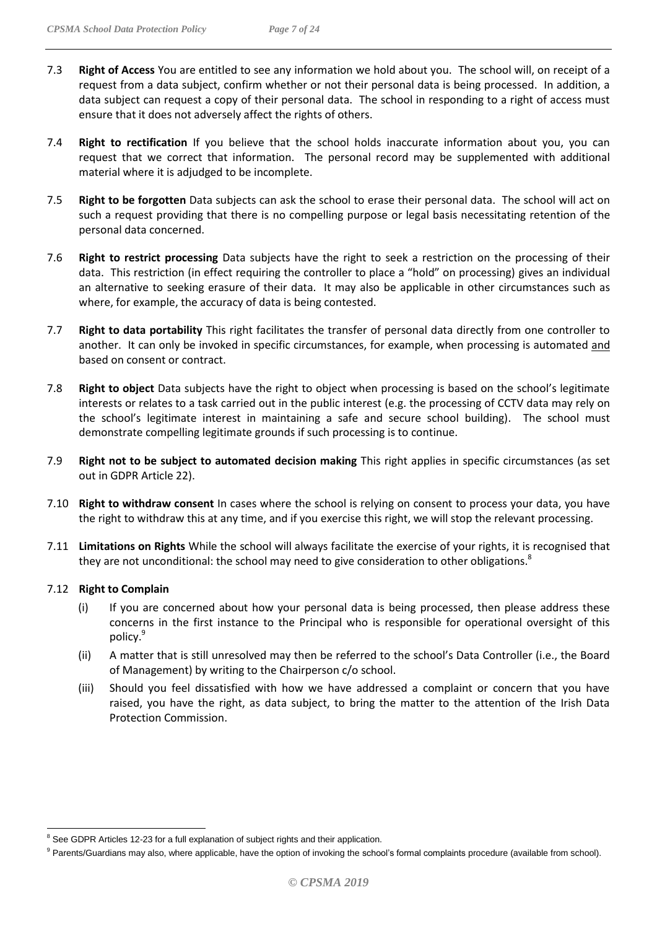- 7.3 **Right of Access** You are entitled to see any information we hold about you. The school will, on receipt of a request from a data subject, confirm whether or not their personal data is being processed. In addition, a data subject can request a copy of their personal data. The school in responding to a right of access must ensure that it does not adversely affect the rights of others.
- 7.4 **Right to rectification** If you believe that the school holds inaccurate information about you, you can request that we correct that information. The personal record may be supplemented with additional material where it is adjudged to be incomplete.
- 7.5 **Right to be forgotten** Data subjects can ask the school to erase their personal data. The school will act on such a request providing that there is no compelling purpose or legal basis necessitating retention of the personal data concerned.
- 7.6 **Right to restrict processing** Data subjects have the right to seek a restriction on the processing of their data. This restriction (in effect requiring the controller to place a "hold" on processing) gives an individual an alternative to seeking erasure of their data. It may also be applicable in other circumstances such as where, for example, the accuracy of data is being contested.
- 7.7 **Right to data portability** This right facilitates the transfer of personal data directly from one controller to another. It can only be invoked in specific circumstances, for example, when processing is automated and based on consent or contract.
- 7.8 **Right to object** Data subjects have the right to object when processing is based on the school's legitimate interests or relates to a task carried out in the public interest (e.g. the processing of CCTV data may rely on the school's legitimate interest in maintaining a safe and secure school building). The school must demonstrate compelling legitimate grounds if such processing is to continue.
- 7.9 **Right not to be subject to automated decision making** This right applies in specific circumstances (as set out in GDPR Article 22).
- 7.10 **Right to withdraw consent** In cases where the school is relying on consent to process your data, you have the right to withdraw this at any time, and if you exercise this right, we will stop the relevant processing.
- 7.11 **Limitations on Rights** While the school will always facilitate the exercise of your rights, it is recognised that they are not unconditional: the school may need to give consideration to other obligations.<sup>8</sup>

#### 7.12 **Right to Complain**

- (i) If you are concerned about how your personal data is being processed, then please address these concerns in the first instance to the Principal who is responsible for operational oversight of this policy.<sup>9</sup>
- (ii) A matter that is still unresolved may then be referred to the school's Data Controller (i.e., the Board of Management) by writing to the Chairperson c/o school.
- (iii) Should you feel dissatisfied with how we have addressed a complaint or concern that you have raised, you have the right, as data subject, to bring the matter to the attention of the Irish Data Protection Commission.

<sup>&</sup>lt;sup>8</sup> See GDPR Articles 12-23 for a full explanation of subject rights and their application.

<sup>&</sup>lt;sup>9</sup> Parents/Guardians may also, where applicable, have the option of invoking the school's formal complaints procedure (available from school).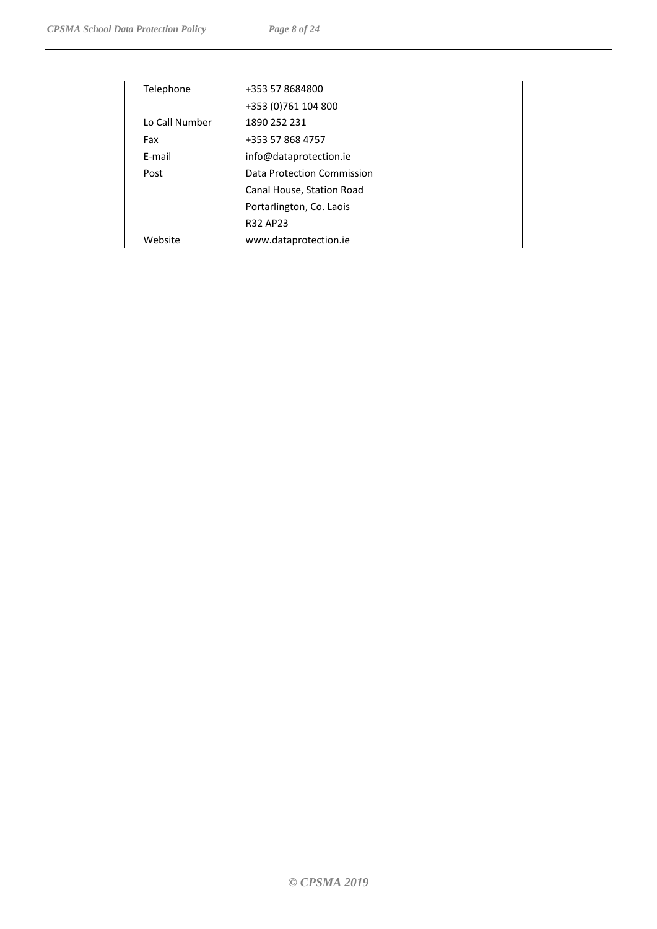| Telephone      | +353 57 8684800            |
|----------------|----------------------------|
|                | +353 (0) 761 104 800       |
| Lo Call Number | 1890 252 231               |
| Fax            | +353 57 868 4757           |
| E-mail         | info@dataprotection.ie     |
| Post           | Data Protection Commission |
|                | Canal House, Station Road  |
|                | Portarlington, Co. Laois   |
|                | <b>R32 AP23</b>            |
| Website        | www.dataprotection.ie      |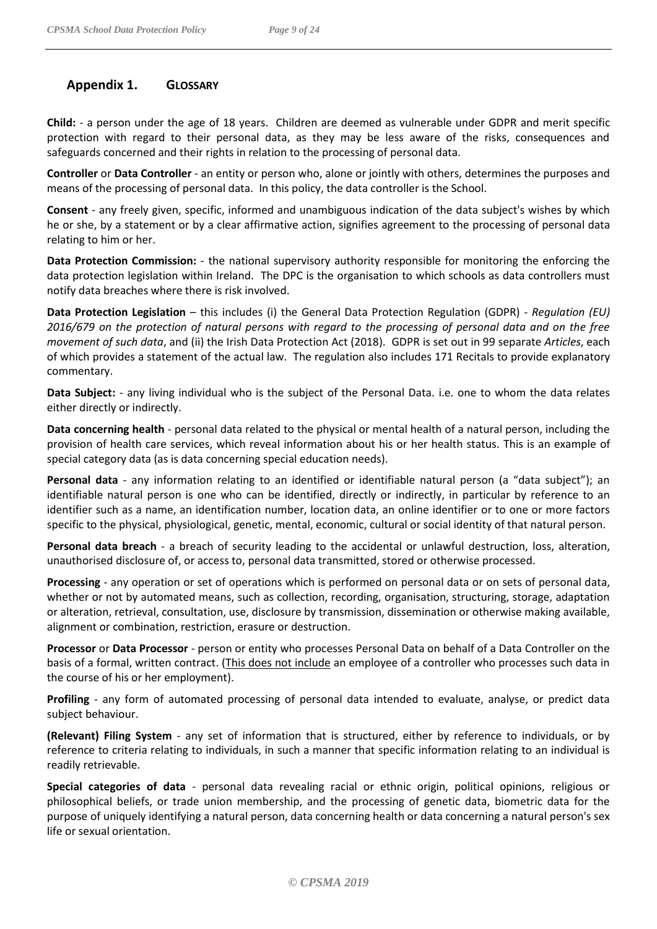# <span id="page-8-0"></span>**Appendix 1. GLOSSARY**

**Child:** - a person under the age of 18 years. Children are deemed as vulnerable under GDPR and merit specific protection with regard to their personal data, as they may be less aware of the risks, consequences and safeguards concerned and their rights in relation to the processing of personal data.

**Controller** or **Data Controller** - an entity or person who, alone or jointly with others, determines the purposes and means of the processing of personal data. In this policy, the data controller is the School.

**Consent** - any freely given, specific, informed and unambiguous indication of the data subject's wishes by which he or she, by a statement or by a clear affirmative action, signifies agreement to the processing of personal data relating to him or her.

**Data Protection Commission:** - the national supervisory authority responsible for monitoring the enforcing the data protection legislation within Ireland. The DPC is the organisation to which schools as data controllers must notify data breaches where there is risk involved.

**Data Protection Legislation** – this includes (i) the General Data Protection Regulation (GDPR) - *Regulation (EU) 2016/679 on the protection of natural persons with regard to the processing of personal data and on the free movement of such data*, and (ii) the Irish Data Protection Act (2018). GDPR is set out in 99 separate *Articles*, each of which provides a statement of the actual law. The regulation also includes 171 Recitals to provide explanatory commentary.

**Data Subject:** - any living individual who is the subject of the Personal Data. i.e. one to whom the data relates either directly or indirectly.

**Data concerning health** - personal data related to the physical or mental health of a natural person, including the provision of health care services, which reveal information about his or her health status. This is an example of special category data (as is data concerning special education needs).

**Personal data** - any information relating to an identified or identifiable natural person (a "data subject"); an identifiable natural person is one who can be identified, directly or indirectly, in particular by reference to an identifier such as a name, an identification number, location data, an online identifier or to one or more factors specific to the physical, physiological, genetic, mental, economic, cultural or social identity of that natural person.

**Personal data breach** - a breach of security leading to the accidental or unlawful destruction, loss, alteration, unauthorised disclosure of, or access to, personal data transmitted, stored or otherwise processed.

**Processing** - any operation or set of operations which is performed on personal data or on sets of personal data, whether or not by automated means, such as collection, recording, organisation, structuring, storage, adaptation or alteration, retrieval, consultation, use, disclosure by transmission, dissemination or otherwise making available, alignment or combination, restriction, erasure or destruction.

**Processor** or **Data Processor** - person or entity who processes Personal Data on behalf of a Data Controller on the basis of a formal, written contract. (This does not include an employee of a controller who processes such data in the course of his or her employment).

**Profiling** - any form of automated processing of personal data intended to evaluate, analyse, or predict data subject behaviour.

**(Relevant) Filing System** - any set of information that is structured, either by reference to individuals, or by reference to criteria relating to individuals, in such a manner that specific information relating to an individual is readily retrievable.

**Special categories of data** - personal data revealing racial or ethnic origin, political opinions, religious or philosophical beliefs, or trade union membership, and the processing of genetic data, biometric data for the purpose of uniquely identifying a natural person, data concerning health or data concerning a natural person's sex life or sexual orientation.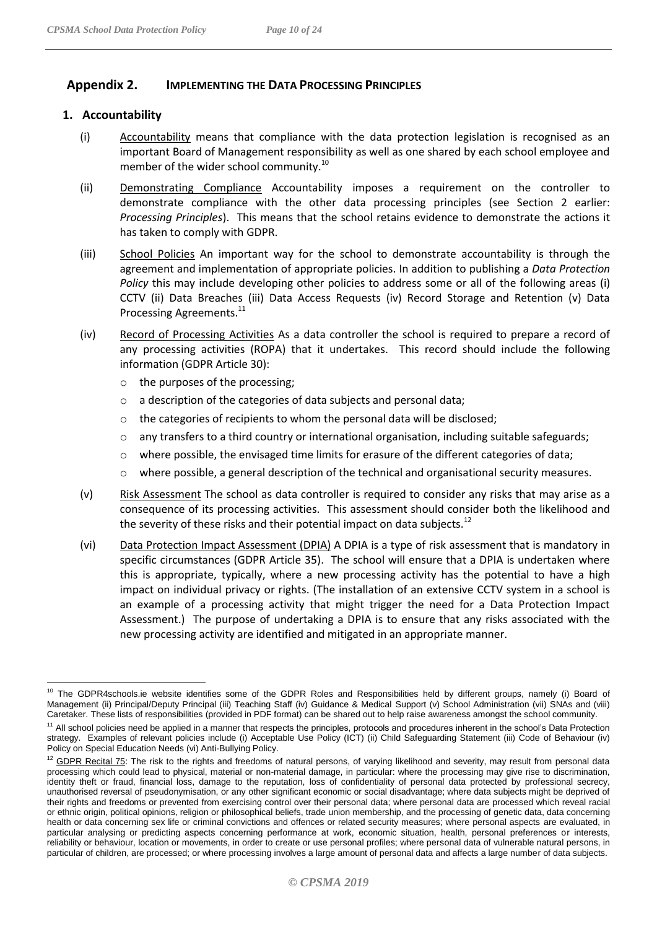#### <span id="page-9-0"></span>**Appendix 2. IMPLEMENTING THE DATA PROCESSING PRINCIPLES**

#### **1. Accountability**

- (i) Accountability means that compliance with the data protection legislation is recognised as an important Board of Management responsibility as well as one shared by each school employee and member of the wider school community.<sup>10</sup>
- (ii) Demonstrating Compliance Accountability imposes a requirement on the controller to demonstrate compliance with the other data processing principles (see Section 2 earlier: *Processing Principles*). This means that the school retains evidence to demonstrate the actions it has taken to comply with GDPR.
- (iii) School Policies An important way for the school to demonstrate accountability is through the agreement and implementation of appropriate policies. In addition to publishing a *Data Protection Policy* this may include developing other policies to address some or all of the following areas (i) CCTV (ii) Data Breaches (iii) Data Access Requests (iv) Record Storage and Retention (v) Data Processing Agreements.<sup>11</sup>
- (iv) Record of Processing Activities As a data controller the school is required to prepare a record of any processing activities (ROPA) that it undertakes. This record should include the following information (GDPR Article 30):
	- o the purposes of the processing;
	- o a description of the categories of data subjects and personal data;
	- o the categories of recipients to whom the personal data will be disclosed;
	- $\circ$  any transfers to a third country or international organisation, including suitable safeguards;
	- $\circ$  where possible, the envisaged time limits for erasure of the different categories of data;
	- $\circ$  where possible, a general description of the technical and organisational security measures.
- (v) Risk Assessment The school as data controller is required to consider any risks that may arise as a consequence of its processing activities. This assessment should consider both the likelihood and the severity of these risks and their potential impact on data subjects.<sup>12</sup>
- (vi) Data Protection Impact Assessment (DPIA) A DPIA is a type of risk assessment that is mandatory in specific circumstances (GDPR Article 35). The school will ensure that a DPIA is undertaken where this is appropriate, typically, where a new processing activity has the potential to have a high impact on individual privacy or rights. (The installation of an extensive CCTV system in a school is an example of a processing activity that might trigger the need for a Data Protection Impact Assessment.) The purpose of undertaking a DPIA is to ensure that any risks associated with the new processing activity are identified and mitigated in an appropriate manner.

The GDPR4schools.ie website identifies some of the GDPR Roles and Responsibilities held by different groups, namely (i) Board of Management (ii) Principal/Deputy Principal (iii) Teaching Staff (iv) Guidance & Medical Support (v) School Administration (vii) SNAs and (viii) Caretaker. These lists of responsibilities (provided in PDF format) can be shared out to help raise awareness amongst the school community.

<sup>&</sup>lt;sup>11</sup> All school policies need be applied in a manner that respects the principles, protocols and procedures inherent in the school's Data Protection strategy. Examples of relevant policies include (i) Acceptable Use Policy (ICT) (ii) Child Safeguarding Statement (iii) Code of Behaviour (iv) Policy on Special Education Needs (vi) Anti-Bullying Policy.

<sup>&</sup>lt;sup>12</sup> GDPR Recital 75: The risk to the rights and freedoms of natural persons, of varying likelihood and severity, may result from personal data processing which could lead to physical, material or non-material damage, in particular: where the processing may give rise to discrimination, identity theft or fraud, financial loss, damage to the reputation, loss of confidentiality of personal data protected by professional secrecy, unauthorised reversal of pseudonymisation, or any other significant economic or social disadvantage; where data subjects might be deprived of their rights and freedoms or prevented from exercising control over their personal data; where personal data are processed which reveal racial or ethnic origin, political opinions, religion or philosophical beliefs, trade union membership, and the processing of genetic data, data concerning health or data concerning sex life or criminal convictions and offences or related security measures; where personal aspects are evaluated, in particular analysing or predicting aspects concerning performance at work, economic situation, health, personal preferences or interests, reliability or behaviour, location or movements, in order to create or use personal profiles; where personal data of vulnerable natural persons, in particular of children, are processed; or where processing involves a large amount of personal data and affects a large number of data subjects.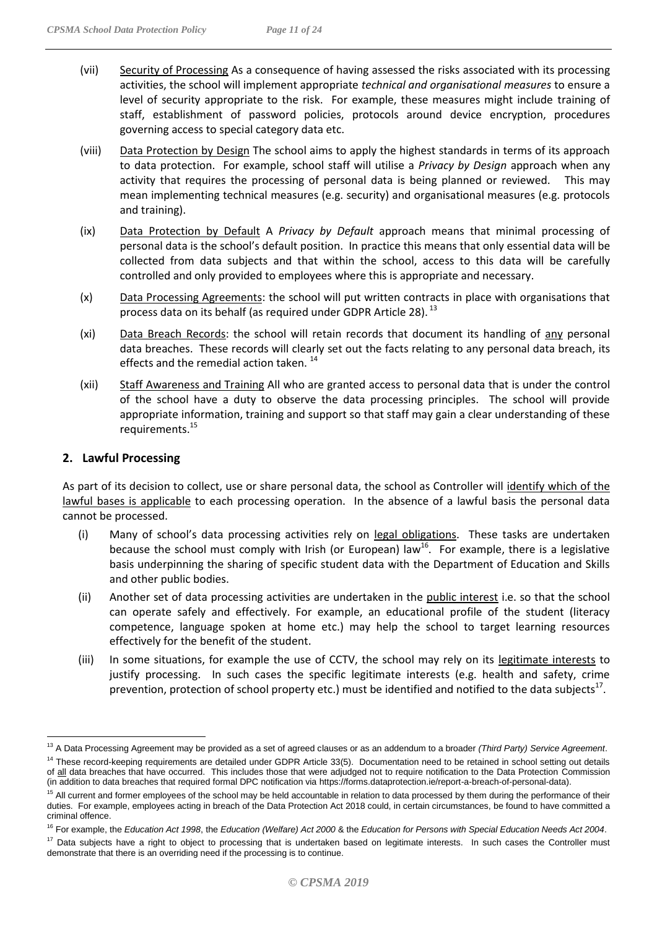- (vii) Security of Processing As a consequence of having assessed the risks associated with its processing activities, the school will implement appropriate *technical and organisational measures* to ensure a level of security appropriate to the risk. For example, these measures might include training of staff, establishment of password policies, protocols around device encryption, procedures governing access to special category data etc.
- (viii) Data Protection by Design The school aims to apply the highest standards in terms of its approach to data protection. For example, school staff will utilise a *Privacy by Design* approach when any activity that requires the processing of personal data is being planned or reviewed. This may mean implementing technical measures (e.g. security) and organisational measures (e.g. protocols and training).
- (ix) Data Protection by Default A *Privacy by Default* approach means that minimal processing of personal data is the school's default position. In practice this means that only essential data will be collected from data subjects and that within the school, access to this data will be carefully controlled and only provided to employees where this is appropriate and necessary.
- (x) Data Processing Agreements: the school will put written contracts in place with organisations that process data on its behalf (as required under GDPR Article 28).<sup>13</sup>
- (xi) Data Breach Records: the school will retain records that document its handling of any personal data breaches. These records will clearly set out the facts relating to any personal data breach, its effects and the remedial action taken.<sup>14</sup>
- (xii) Staff Awareness and Training All who are granted access to personal data that is under the control of the school have a duty to observe the data processing principles. The school will provide appropriate information, training and support so that staff may gain a clear understanding of these requirements.<sup>15</sup>

#### **2. Lawful Processing**

 $\overline{a}$ 

As part of its decision to collect, use or share personal data, the school as Controller will identify which of the lawful bases is applicable to each processing operation. In the absence of a lawful basis the personal data cannot be processed.

- (i) Many of school's data processing activities rely on legal obligations. These tasks are undertaken because the school must comply with Irish (or European) law<sup>16</sup>. For example, there is a legislative basis underpinning the sharing of specific student data with the Department of Education and Skills and other public bodies.
- (ii) Another set of data processing activities are undertaken in the public interest i.e. so that the school can operate safely and effectively. For example, an educational profile of the student (literacy competence, language spoken at home etc.) may help the school to target learning resources effectively for the benefit of the student.
- (iii) In some situations, for example the use of CCTV, the school may rely on its legitimate interests to justify processing. In such cases the specific legitimate interests (e.g. health and safety, crime prevention, protection of school property etc.) must be identified and notified to the data subjects<sup>17</sup>.

<sup>13</sup> A Data Processing Agreement may be provided as a set of agreed clauses or as an addendum to a broader *(Third Party) Service Agreement*.

<sup>&</sup>lt;sup>14</sup> These record-keeping requirements are detailed under GDPR Article 33(5). Documentation need to be retained in school setting out details of all data breaches that have occurred. This includes those that were adjudged not to require notification to the Data Protection Commission (in addition to data breaches that required formal DPC notification via https://forms.dataprotection.ie/report-a-breach-of-personal-data).

<sup>&</sup>lt;sup>15</sup> All current and former employees of the school may be held accountable in relation to data processed by them during the performance of their duties. For example, employees acting in breach of the Data Protection Act 2018 could, in certain circumstances, be found to have committed a criminal offence.

<sup>16</sup> For example, the *Education Act 1998*, the *Education (Welfare) Act 2000* & the *Education for Persons with Special Education Needs Act 2004*.

<sup>&</sup>lt;sup>17</sup> Data subjects have a right to object to processing that is undertaken based on legitimate interests. In such cases the Controller must demonstrate that there is an overriding need if the processing is to continue.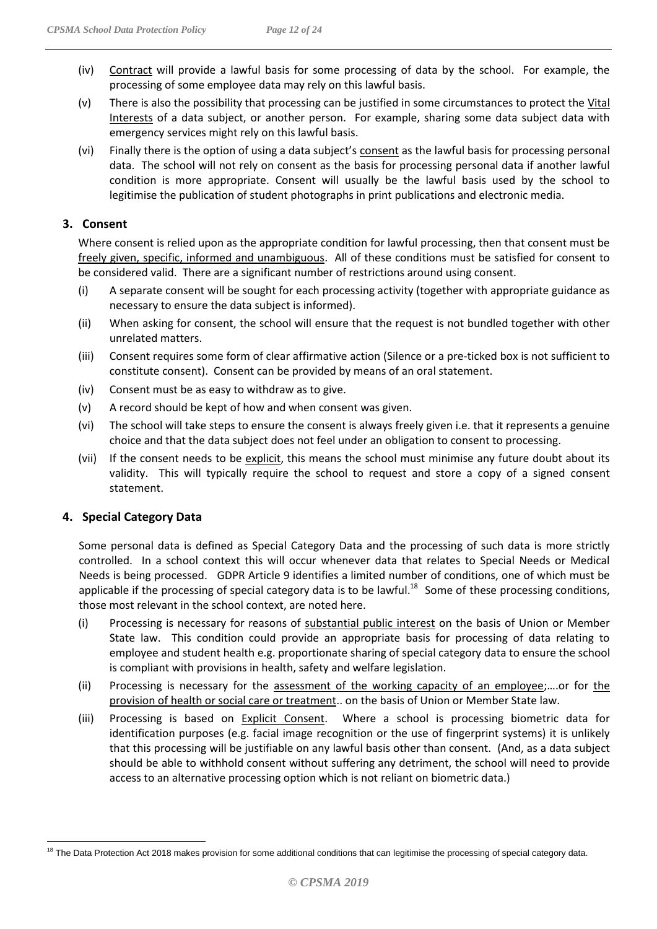- (iv) Contract will provide a lawful basis for some processing of data by the school. For example, the processing of some employee data may rely on this lawful basis.
- (v) There is also the possibility that processing can be justified in some circumstances to protect the Vital Interests of a data subject, or another person. For example, sharing some data subject data with emergency services might rely on this lawful basis.
- (vi) Finally there is the option of using a data subject's consent as the lawful basis for processing personal data. The school will not rely on consent as the basis for processing personal data if another lawful condition is more appropriate. Consent will usually be the lawful basis used by the school to legitimise the publication of student photographs in print publications and electronic media.

#### **3. Consent**

Where consent is relied upon as the appropriate condition for lawful processing, then that consent must be freely given, specific, informed and unambiguous. All of these conditions must be satisfied for consent to be considered valid. There are a significant number of restrictions around using consent.

- (i) A separate consent will be sought for each processing activity (together with appropriate guidance as necessary to ensure the data subject is informed).
- (ii) When asking for consent, the school will ensure that the request is not bundled together with other unrelated matters.
- (iii) Consent requires some form of clear affirmative action (Silence or a pre-ticked box is not sufficient to constitute consent). Consent can be provided by means of an oral statement.
- (iv) Consent must be as easy to withdraw as to give.
- (v) A record should be kept of how and when consent was given.
- (vi) The school will take steps to ensure the consent is always freely given i.e. that it represents a genuine choice and that the data subject does not feel under an obligation to consent to processing.
- (vii) If the consent needs to be explicit, this means the school must minimise any future doubt about its validity. This will typically require the school to request and store a copy of a signed consent statement.

#### **4. Special Category Data**

Some personal data is defined as Special Category Data and the processing of such data is more strictly controlled. In a school context this will occur whenever data that relates to Special Needs or Medical Needs is being processed. GDPR Article 9 identifies a limited number of conditions, one of which must be applicable if the processing of special category data is to be lawful.<sup>18</sup> Some of these processing conditions, those most relevant in the school context, are noted here.

- (i) Processing is necessary for reasons of substantial public interest on the basis of Union or Member State law. This condition could provide an appropriate basis for processing of data relating to employee and student health e.g. proportionate sharing of special category data to ensure the school is compliant with provisions in health, safety and welfare legislation.
- (ii) Processing is necessary for the assessment of the working capacity of an employee;....or for the provision of health or social care or treatment.. on the basis of Union or Member State law.
- (iii) Processing is based on Explicit Consent. Where a school is processing biometric data for identification purposes (e.g. facial image recognition or the use of fingerprint systems) it is unlikely that this processing will be justifiable on any lawful basis other than consent. (And, as a data subject should be able to withhold consent without suffering any detriment, the school will need to provide access to an alternative processing option which is not reliant on biometric data.)

 $\overline{a}$ <sup>18</sup> The Data Protection Act 2018 makes provision for some additional conditions that can legitimise the processing of special category data.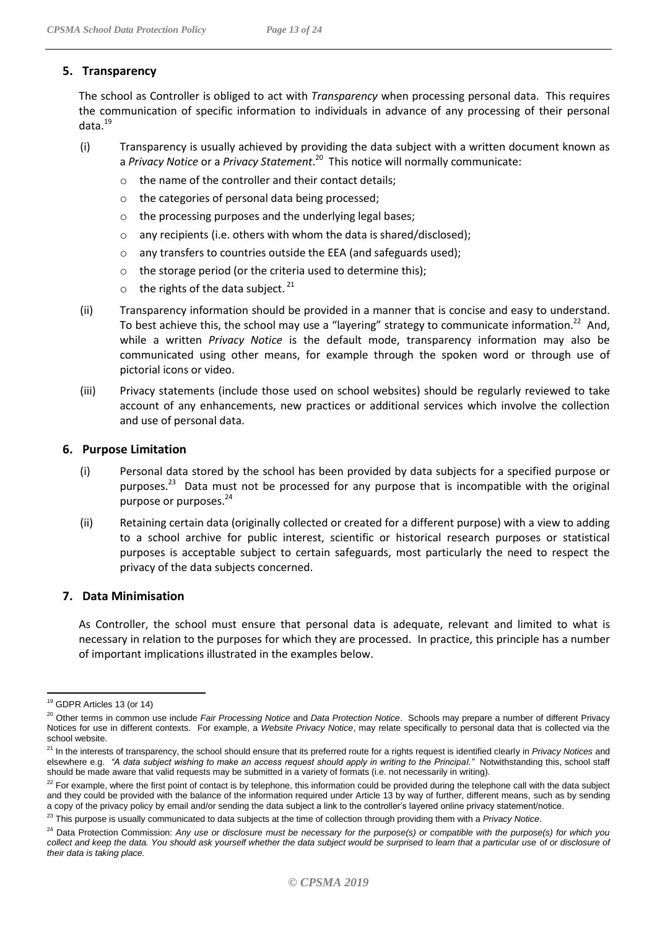#### **5. Transparency**

The school as Controller is obliged to act with *Transparency* when processing personal data. This requires the communication of specific information to individuals in advance of any processing of their personal data.<sup>19</sup>

- (i) Transparency is usually achieved by providing the data subject with a written document known as a *Privacy Notice* or a *Privacy Statement*.<sup>20</sup> This notice will normally communicate:
	- o the name of the controller and their contact details;
	- o the categories of personal data being processed;
	- o the processing purposes and the underlying legal bases;
	- o any recipients (i.e. others with whom the data is shared/disclosed);
	- o any transfers to countries outside the EEA (and safeguards used);
	- o the storage period (or the criteria used to determine this);
	- $\circ$  the rights of the data subject.<sup>21</sup>
- (ii) Transparency information should be provided in a manner that is concise and easy to understand. To best achieve this, the school may use a "layering" strategy to communicate information.<sup>22</sup> And, while a written *Privacy Notice* is the default mode, transparency information may also be communicated using other means, for example through the spoken word or through use of pictorial icons or video.
- (iii) Privacy statements (include those used on school websites) should be regularly reviewed to take account of any enhancements, new practices or additional services which involve the collection and use of personal data.

#### **6. Purpose Limitation**

- (i) Personal data stored by the school has been provided by data subjects for a specified purpose or purposes.<sup>23</sup> Data must not be processed for any purpose that is incompatible with the original purpose or purposes.<sup>24</sup>
- (ii) Retaining certain data (originally collected or created for a different purpose) with a view to adding to a school archive for public interest, scientific or historical research purposes or statistical purposes is acceptable subject to certain safeguards, most particularly the need to respect the privacy of the data subjects concerned.

#### **7. Data Minimisation**

As Controller, the school must ensure that personal data is adequate, relevant and limited to what is necessary in relation to the purposes for which they are processed. In practice, this principle has a number of important implications illustrated in the examples below.

<sup>&</sup>lt;sup>19</sup> GDPR Articles 13 (or 14)

<sup>20</sup> Other terms in common use include *Fair Processing Notice* and *Data Protection Notice*. Schools may prepare a number of different Privacy Notices for use in different contexts. For example, a *Website Privacy Notice*, may relate specifically to personal data that is collected via the school website.

<sup>&</sup>lt;sup>21</sup> In the interests of transparency, the school should ensure that its preferred route for a rights request is identified clearly in *Privacy Notices* and elsewhere e.g. *"A data subject wishing to make an access request should apply in writing to the Principal."* Notwithstanding this, school staff should be made aware that valid requests may be submitted in a variety of formats (i.e. not necessarily in writing).

<sup>&</sup>lt;sup>22</sup> For example, where the first point of contact is by telephone, this information could be provided during the telephone call with the data subject and they could be provided with the balance of the information required under Article 13 by way of further, different means, such as by sending a copy of the privacy policy by email and/or sending the data subject a link to the controller's layered online privacy statement/notice.

<sup>&</sup>lt;sup>23</sup> This purpose is usually communicated to data subjects at the time of collection through providing them with a Privacy Notice.

<sup>&</sup>lt;sup>24</sup> Data Protection Commission: Any use or disclosure must be necessary for the purpose(s) or compatible with the purpose(s) for which you *collect and keep the data. You should ask yourself whether the data subject would be surprised to learn that a particular use of or disclosure of their data is taking place.*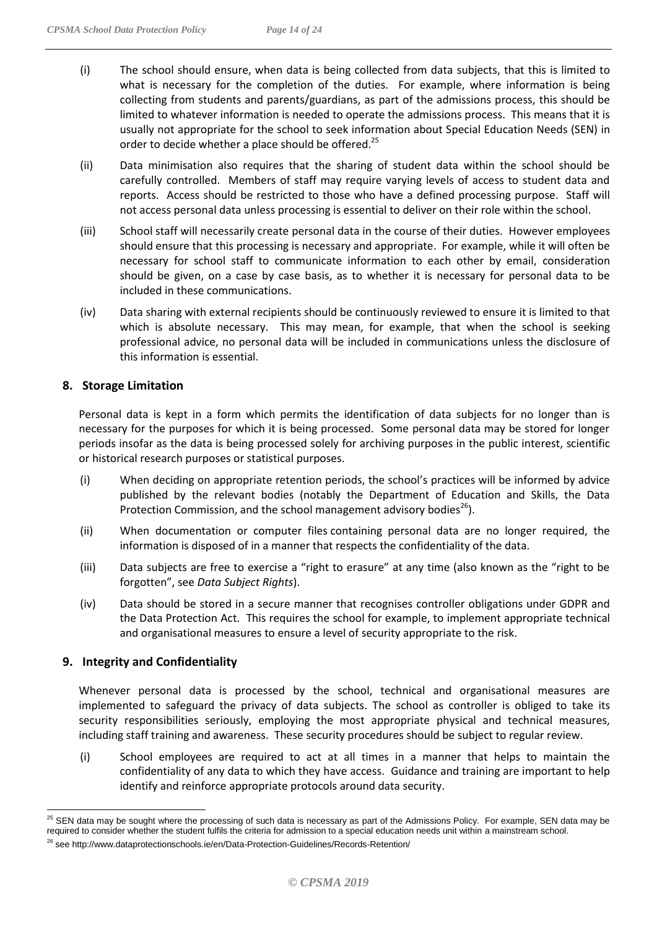- (i) The school should ensure, when data is being collected from data subjects, that this is limited to what is necessary for the completion of the duties. For example, where information is being collecting from students and parents/guardians, as part of the admissions process, this should be limited to whatever information is needed to operate the admissions process. This means that it is usually not appropriate for the school to seek information about Special Education Needs (SEN) in order to decide whether a place should be offered.<sup>25</sup>
- (ii) Data minimisation also requires that the sharing of student data within the school should be carefully controlled. Members of staff may require varying levels of access to student data and reports. Access should be restricted to those who have a defined processing purpose. Staff will not access personal data unless processing is essential to deliver on their role within the school.
- (iii) School staff will necessarily create personal data in the course of their duties. However employees should ensure that this processing is necessary and appropriate. For example, while it will often be necessary for school staff to communicate information to each other by email, consideration should be given, on a case by case basis, as to whether it is necessary for personal data to be included in these communications.
- (iv) Data sharing with external recipients should be continuously reviewed to ensure it is limited to that which is absolute necessary. This may mean, for example, that when the school is seeking professional advice, no personal data will be included in communications unless the disclosure of this information is essential.

#### **8. Storage Limitation**

Personal data is kept in a form which permits the identification of data subjects for no longer than is necessary for the purposes for which it is being processed. Some personal data may be stored for longer periods insofar as the data is being processed solely for archiving purposes in the public interest, scientific or historical research purposes or statistical purposes.

- (i) When deciding on appropriate retention periods, the school's practices will be informed by advice published by the relevant bodies (notably the Department of Education and Skills, the Data Protection Commission, and the school management advisory bodies $^{26}$ ).
- (ii) When documentation or computer files containing personal data are no longer required, the information is disposed of in a manner that respects the confidentiality of the data.
- (iii) Data subjects are free to exercise a "right to erasure" at any time (also known as the "right to be forgotten", see *Data Subject Rights*).
- (iv) Data should be stored in a secure manner that recognises controller obligations under GDPR and the Data Protection Act. This requires the school for example, to implement appropriate technical and organisational measures to ensure a level of security appropriate to the risk.

#### **9. Integrity and Confidentiality**

 $\overline{a}$ 

Whenever personal data is processed by the school, technical and organisational measures are implemented to safeguard the privacy of data subjects. The school as controller is obliged to take its security responsibilities seriously, employing the most appropriate physical and technical measures, including staff training and awareness. These security procedures should be subject to regular review.

(i) School employees are required to act at all times in a manner that helps to maintain the confidentiality of any data to which they have access. Guidance and training are important to help identify and reinforce appropriate protocols around data security.

<sup>&</sup>lt;sup>25</sup> SEN data may be sought where the processing of such data is necessary as part of the Admissions Policy. For example, SEN data may be required to consider whether the student fulfils the criteria for admission to a special education needs unit within a mainstream school.

<sup>&</sup>lt;sup>26</sup> see <http://www.dataprotectionschools.ie/en/Data-Protection-Guidelines/Records-Retention/>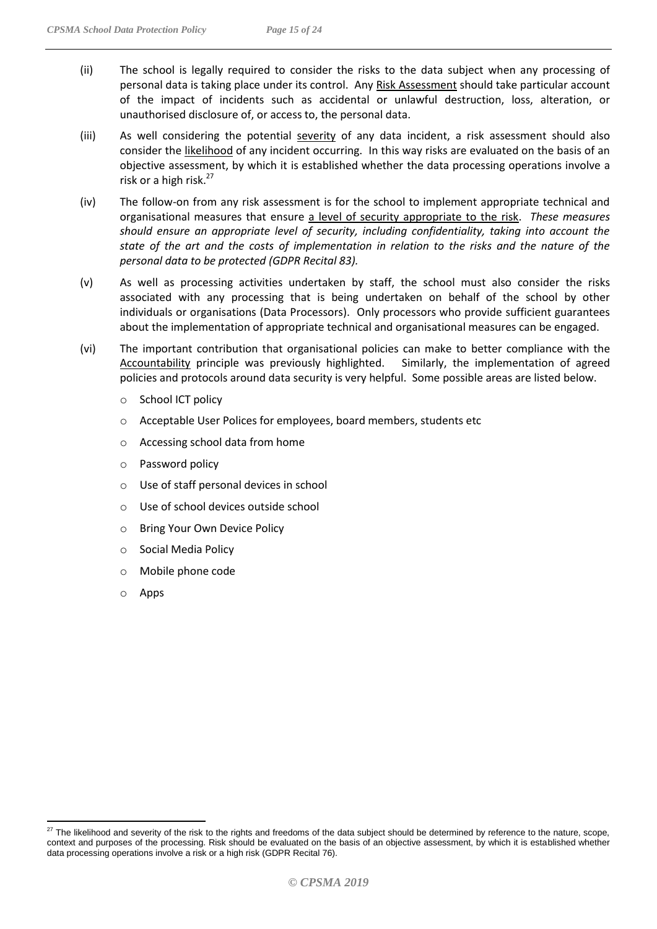- (ii) The school is legally required to consider the risks to the data subject when any processing of personal data is taking place under its control. Any Risk Assessment should take particular account of the impact of incidents such as accidental or unlawful destruction, loss, alteration, or unauthorised disclosure of, or access to, the personal data.
- (iii) As well considering the potential severity of any data incident, a risk assessment should also consider the likelihood of any incident occurring. In this way risks are evaluated on the basis of an objective assessment, by which it is established whether the data processing operations involve a risk or a high risk. $27$
- (iv) The follow-on from any risk assessment is for the school to implement appropriate technical and organisational measures that ensure a level of security appropriate to the risk. *These measures should ensure an appropriate level of security, including confidentiality, taking into account the state of the art and the costs of implementation in relation to the risks and the nature of the personal data to be protected (GDPR Recital 83).*
- (v) As well as processing activities undertaken by staff, the school must also consider the risks associated with any processing that is being undertaken on behalf of the school by other individuals or organisations (Data Processors). Only processors who provide sufficient guarantees about the implementation of appropriate technical and organisational measures can be engaged.
- (vi) The important contribution that organisational policies can make to better compliance with the Accountability principle was previously highlighted. Similarly, the implementation of agreed policies and protocols around data security is very helpful. Some possible areas are listed below.
	- o School ICT policy
	- o Acceptable User Polices for employees, board members, students etc
	- o Accessing school data from home
	- o Password policy
	- o Use of staff personal devices in school
	- o Use of school devices outside school
	- o Bring Your Own Device Policy
	- o Social Media Policy
	- o Mobile phone code
	- o Apps

 $^{27}$  The likelihood and severity of the risk to the rights and freedoms of the data subject should be determined by reference to the nature, scope, context and purposes of the processing. Risk should be evaluated on the basis of an objective assessment, by which it is established whether data processing operations involve a risk or a high risk (GDPR Recital 76).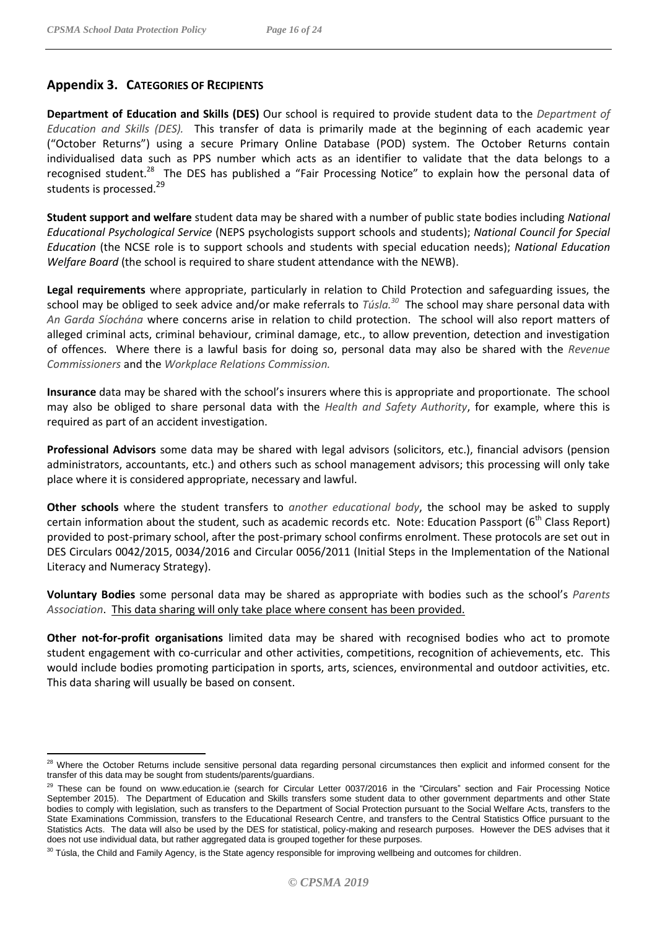## <span id="page-15-0"></span>**Appendix 3. CATEGORIES OF RECIPIENTS**

**Department of Education and Skills (DES)** Our school is required to provide student data to the *Department of Education and Skills (DES).* This transfer of data is primarily made at the beginning of each academic year ("October Returns") using a secure Primary Online Database (POD) system. The October Returns contain individualised data such as PPS number which acts as an identifier to validate that the data belongs to a recognised student.<sup>28</sup> The DES has published a "Fair Processing Notice" to explain how the personal data of students is processed.<sup>29</sup>

**Student support and welfare** student data may be shared with a number of public state bodies including *National Educational Psychological Service* (NEPS psychologists support schools and students); *National Council for Special Education* (the NCSE role is to support schools and students with special education needs); *National Education Welfare Board* (the school is required to share student attendance with the NEWB).

**Legal requirements** where appropriate, particularly in relation to Child Protection and safeguarding issues, the school may be obliged to seek advice and/or make referrals to *Túsla.<sup>30</sup>* The school may share personal data with *An Garda Síochána* where concerns arise in relation to child protection. The school will also report matters of alleged criminal acts, criminal behaviour, criminal damage, etc., to allow prevention, detection and investigation of offences. Where there is a lawful basis for doing so, personal data may also be shared with the *Revenue Commissioners* and the *Workplace Relations Commission.*

**Insurance** data may be shared with the school's insurers where this is appropriate and proportionate. The school may also be obliged to share personal data with the *Health and Safety Authority*, for example, where this is required as part of an accident investigation.

**Professional Advisors** some data may be shared with legal advisors (solicitors, etc.), financial advisors (pension administrators, accountants, etc.) and others such as school management advisors; this processing will only take place where it is considered appropriate, necessary and lawful.

**Other schools** where the student transfers to *another educational body*, the school may be asked to supply certain information about the student, such as academic records etc. Note: Education Passport (6<sup>th</sup> Class Report) provided to post-primary school, after the post-primary school confirms enrolment. These protocols are set out in DES Circulars 0042/2015, 0034/2016 and Circular 0056/2011 (Initial Steps in the Implementation of the National Literacy and Numeracy Strategy).

**Voluntary Bodies** some personal data may be shared as appropriate with bodies such as the school's *Parents Association*. This data sharing will only take place where consent has been provided.

**Other not-for-profit organisations** limited data may be shared with recognised bodies who act to promote student engagement with co-curricular and other activities, competitions, recognition of achievements, etc. This would include bodies promoting participation in sports, arts, sciences, environmental and outdoor activities, etc. This data sharing will usually be based on consent.

 $\overline{a}$ <sup>28</sup> Where the October Returns include sensitive personal data regarding personal circumstances then explicit and informed consent for the transfer of this data may be sought from students/parents/guardians.

<sup>&</sup>lt;sup>29</sup> These can be found on www.education.ie (search for Circular Letter 0037/2016 in the "Circulars" section and Fair Processing Notice September 2015). The Department of Education and Skills transfers some student data to other government departments and other State bodies to comply with legislation, such as transfers to the Department of Social Protection pursuant to the Social Welfare Acts, transfers to the State Examinations Commission, transfers to the Educational Research Centre, and transfers to the Central Statistics Office pursuant to the Statistics Acts. The data will also be used by the DES for statistical, policy-making and research purposes. However the DES advises that it does not use individual data, but rather aggregated data is grouped together for these purposes.

<sup>&</sup>lt;sup>30</sup> Túsla, the Child and Family Agency, is the State agency responsible for improving wellbeing and outcomes for children.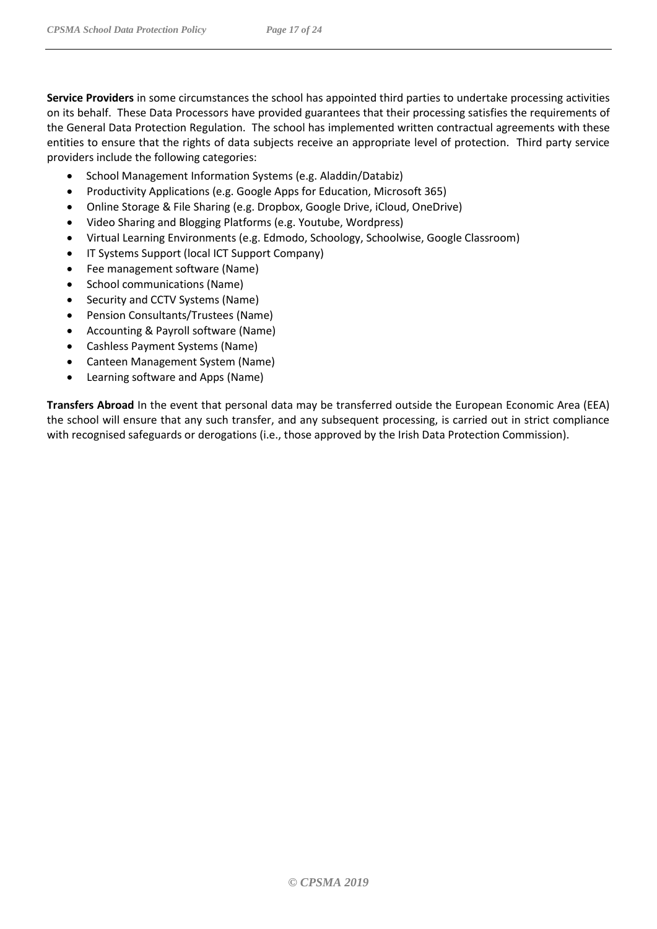- School Management Information Systems (e.g. Aladdin/Databiz)
- Productivity Applications (e.g. Google Apps for Education, Microsoft 365)
- Online Storage & File Sharing (e.g. Dropbox, Google Drive, iCloud, OneDrive)
- Video Sharing and Blogging Platforms (e.g. Youtube, Wordpress)
- Virtual Learning Environments (e.g. Edmodo, Schoology, Schoolwise, Google Classroom)
- IT Systems Support (local ICT Support Company)
- Fee management software (Name)
- School communications (Name)
- Security and CCTV Systems (Name)
- Pension Consultants/Trustees (Name)
- Accounting & Payroll software (Name)
- Cashless Payment Systems (Name)
- Canteen Management System (Name)
- Learning software and Apps (Name)

**Transfers Abroad** In the event that personal data may be transferred outside the European Economic Area (EEA) the school will ensure that any such transfer, and any subsequent processing, is carried out in strict compliance with recognised safeguards or derogations (i.e., those approved by the Irish Data Protection Commission).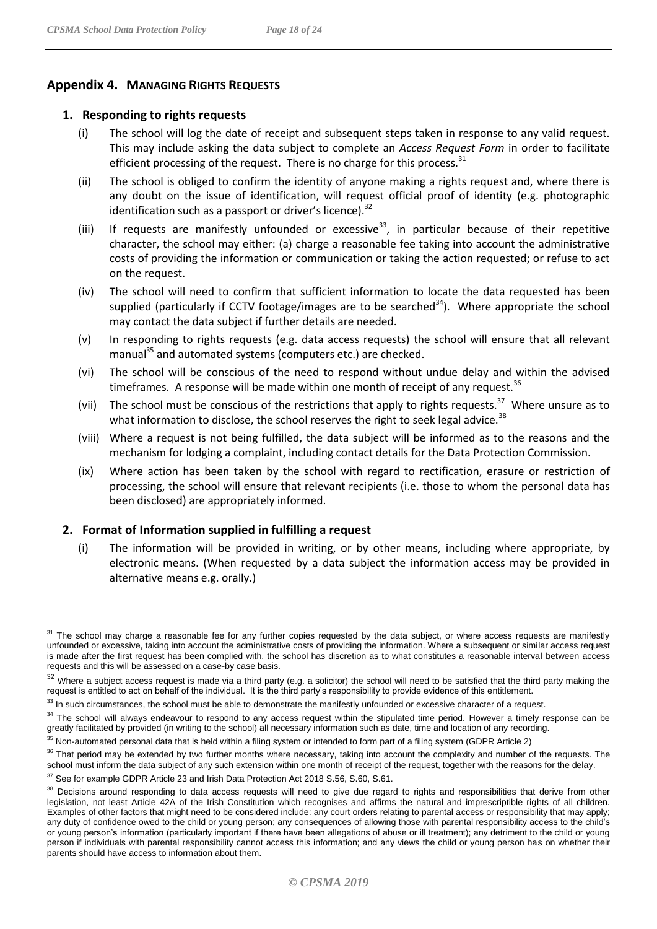#### <span id="page-17-0"></span>**Appendix 4. MANAGING RIGHTS REQUESTS**

#### **1. Responding to rights requests**

- (i) The school will log the date of receipt and subsequent steps taken in response to any valid request. This may include asking the data subject to complete an *Access Request Form* in order to facilitate efficient processing of the request. There is no charge for this process. $31$
- (ii) The school is obliged to confirm the identity of anyone making a rights request and, where there is any doubt on the issue of identification, will request official proof of identity (e.g. photographic identification such as a passport or driver's licence). $32$
- (iii) If requests are manifestly unfounded or excessive<sup>33</sup>, in particular because of their repetitive character, the school may either: (a) charge a reasonable fee taking into account the administrative costs of providing the information or communication or taking the action requested; or refuse to act on the request.
- (iv) The school will need to confirm that sufficient information to locate the data requested has been supplied (particularly if CCTV footage/images are to be searched $34$ ). Where appropriate the school may contact the data subject if further details are needed.
- (v) In responding to rights requests (e.g. data access requests) the school will ensure that all relevant manual<sup>35</sup> and automated systems (computers etc.) are checked.
- (vi) The school will be conscious of the need to respond without undue delay and within the advised timeframes. A response will be made within one month of receipt of any request.<sup>36</sup>
- (vii) The school must be conscious of the restrictions that apply to rights requests.<sup>37</sup> Where unsure as to what information to disclose, the school reserves the right to seek legal advice.<sup>38</sup>
- (viii) Where a request is not being fulfilled, the data subject will be informed as to the reasons and the mechanism for lodging a complaint, including contact details for the Data Protection Commission.
- (ix) Where action has been taken by the school with regard to rectification, erasure or restriction of processing, the school will ensure that relevant recipients (i.e. those to whom the personal data has been disclosed) are appropriately informed.

#### **2. Format of Information supplied in fulfilling a request**

(i) The information will be provided in writing, or by other means, including where appropriate, by electronic means. (When requested by a data subject the information access may be provided in alternative means e.g. orally.)

 $\overline{a}$ <sup>31</sup> The school may charge a reasonable fee for any further copies requested by the data subject, or where access requests are manifestly unfounded or excessive, taking into account the administrative costs of providing the information. Where a subsequent or similar access request is made after the first request has been complied with, the school has discretion as to what constitutes a reasonable interval between access requests and this will be assessed on a case-by case basis.

<sup>&</sup>lt;sup>32</sup> Where a subject access request is made via a third party (e.g. a solicitor) the school will need to be satisfied that the third party making the request is entitled to act on behalf of the individual. It is the third party's responsibility to provide evidence of this entitlement.

<sup>&</sup>lt;sup>33</sup> In such circumstances, the school must be able to demonstrate the manifestly unfounded or excessive character of a request.

<sup>&</sup>lt;sup>34</sup> The school will always endeavour to respond to any access request within the stipulated time period. However a timely response can be greatly facilitated by provided (in writing to the school) all necessary information such as date, time and location of any recording.

<sup>&</sup>lt;sup>35</sup> Non-automated personal data that is held within a filing system or intended to form part of a filing system (GDPR Article 2)

<sup>&</sup>lt;sup>36</sup> That period may be extended by two further months where necessary, taking into account the complexity and number of the requests. The school must inform the data subject of any such extension within one month of receipt of the request, together with the reasons for the delay.

<sup>&</sup>lt;sup>37</sup> See for example GDPR Article 23 and Irish Data Protection Act 2018 S.56, S.60, S.61.

<sup>38</sup> Decisions around responding to data access requests will need to give due regard to rights and responsibilities that derive from other legislation, not least Article 42A of the Irish Constitution which recognises and affirms the natural and imprescriptible rights of all children. Examples of other factors that might need to be considered include: any court orders relating to parental access or responsibility that may apply; any duty of confidence owed to the child or young person; any consequences of allowing those with parental responsibility access to the child's or young person's information (particularly important if there have been allegations of abuse or ill treatment); any detriment to the child or young person if individuals with parental responsibility cannot access this information; and any views the child or young person has on whether their parents should have access to information about them.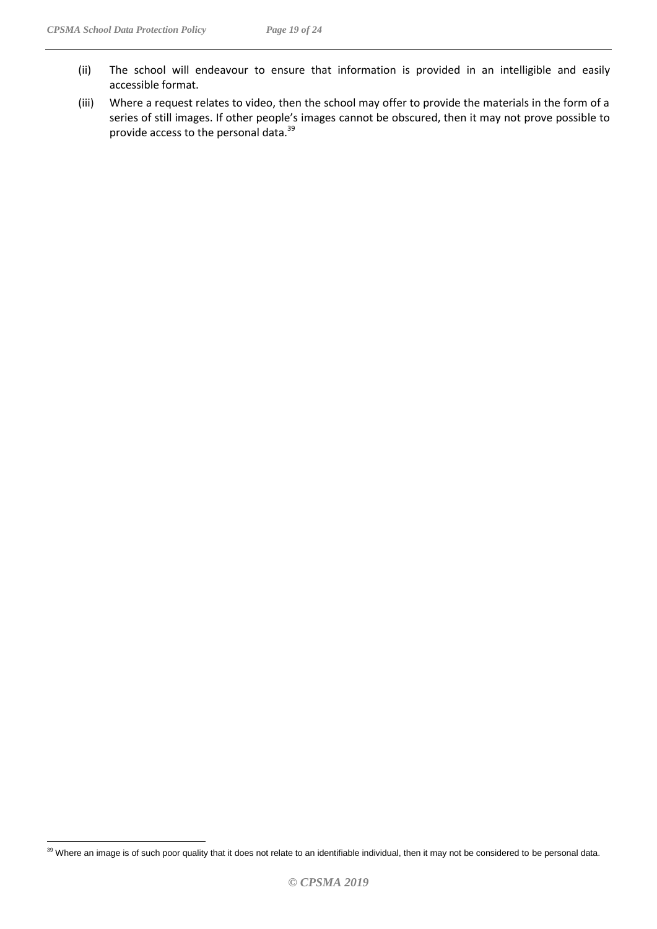- (ii) The school will endeavour to ensure that information is provided in an intelligible and easily accessible format.
- (iii) Where a request relates to video, then the school may offer to provide the materials in the form of a series of still images. If other people's images cannot be obscured, then it may not prove possible to provide access to the personal data.<sup>39</sup>

 $\overline{a}$  $39$  Where an image is of such poor quality that it does not relate to an identifiable individual, then it may not be considered to be personal data.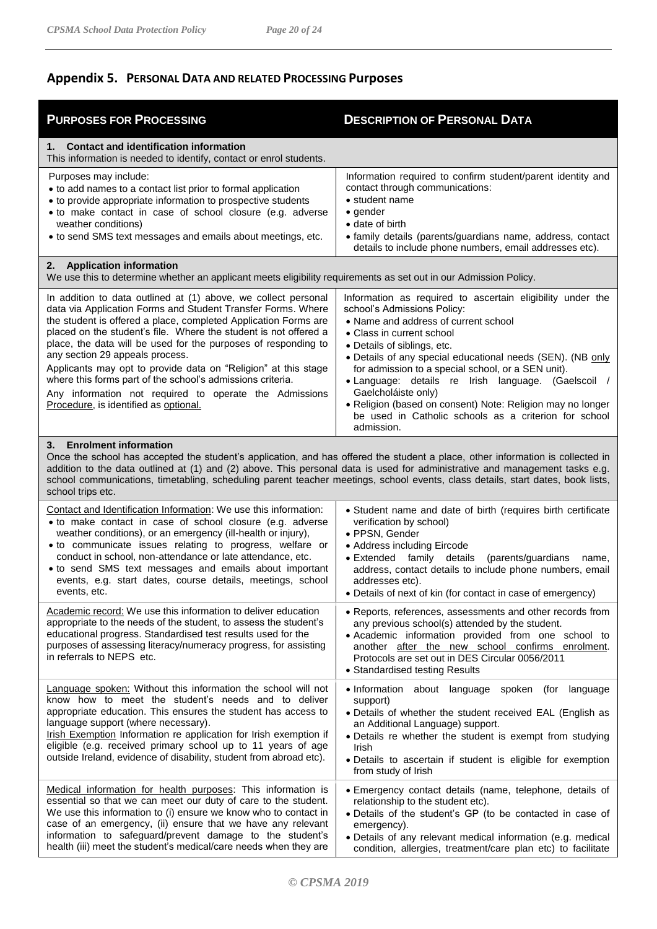# <span id="page-19-0"></span>**Appendix 5. PERSONAL DATA AND RELATED PROCESSING Purposes**

| <b>PURPOSES FOR PROCESSING</b>                                                                                                                                                                                                                                                                                                                                                                                                                                                                                                                                                                                | <b>DESCRIPTION OF PERSONAL DATA</b>                                                                                                                                                                                                                                                                                                                                                                                                                                                                                                  |  |  |  |
|---------------------------------------------------------------------------------------------------------------------------------------------------------------------------------------------------------------------------------------------------------------------------------------------------------------------------------------------------------------------------------------------------------------------------------------------------------------------------------------------------------------------------------------------------------------------------------------------------------------|--------------------------------------------------------------------------------------------------------------------------------------------------------------------------------------------------------------------------------------------------------------------------------------------------------------------------------------------------------------------------------------------------------------------------------------------------------------------------------------------------------------------------------------|--|--|--|
| <b>Contact and identification information</b><br>1. .<br>This information is needed to identify, contact or enrol students.                                                                                                                                                                                                                                                                                                                                                                                                                                                                                   |                                                                                                                                                                                                                                                                                                                                                                                                                                                                                                                                      |  |  |  |
| Purposes may include:<br>• to add names to a contact list prior to formal application<br>• to provide appropriate information to prospective students<br>• to make contact in case of school closure (e.g. adverse<br>weather conditions)<br>• to send SMS text messages and emails about meetings, etc.                                                                                                                                                                                                                                                                                                      | Information required to confirm student/parent identity and<br>contact through communications:<br>$\bullet$ student name<br>$\bullet$ gender<br>• date of birth<br>• family details (parents/guardians name, address, contact<br>details to include phone numbers, email addresses etc).                                                                                                                                                                                                                                             |  |  |  |
| 2. Application information<br>We use this to determine whether an applicant meets eligibility requirements as set out in our Admission Policy.                                                                                                                                                                                                                                                                                                                                                                                                                                                                |                                                                                                                                                                                                                                                                                                                                                                                                                                                                                                                                      |  |  |  |
| In addition to data outlined at (1) above, we collect personal<br>data via Application Forms and Student Transfer Forms. Where<br>the student is offered a place, completed Application Forms are<br>placed on the student's file. Where the student is not offered a<br>place, the data will be used for the purposes of responding to<br>any section 29 appeals process.<br>Applicants may opt to provide data on "Religion" at this stage<br>where this forms part of the school's admissions criteria.<br>Any information not required to operate the Admissions<br>Procedure, is identified as optional. | Information as required to ascertain eligibility under the<br>school's Admissions Policy:<br>• Name and address of current school<br>• Class in current school<br>• Details of siblings, etc.<br>• Details of any special educational needs (SEN). (NB only<br>for admission to a special school, or a SEN unit).<br>· Language: details re Irish language. (Gaelscoil /<br>Gaelcholáiste only)<br>· Religion (based on consent) Note: Religion may no longer<br>be used in Catholic schools as a criterion for school<br>admission. |  |  |  |
| 3. Enrolment information<br>Once the school has accepted the student's application, and has offered the student a place, other information is collected in<br>addition to the data outlined at (1) and (2) above. This personal data is used for administrative and management tasks e.g.<br>school communications, timetabling, scheduling parent teacher meetings, school events, class details, start dates, book lists,<br>school trips etc.                                                                                                                                                              |                                                                                                                                                                                                                                                                                                                                                                                                                                                                                                                                      |  |  |  |
| Contact and Identification Information: We use this information:<br>• to make contact in case of school closure (e.g. adverse<br>weather conditions), or an emergency (ill-health or injury),<br>· to communicate issues relating to progress, welfare or<br>conduct in school, non-attendance or late attendance, etc.<br>• to send SMS text messages and emails about important<br>events, e.g. start dates, course details, meetings, school<br>events, etc.                                                                                                                                               | • Student name and date of birth (requires birth certificate<br>verification by school)<br>• PPSN, Gender<br>• Address including Eircode<br>· Extended family details<br>(parents/guardians<br>name,<br>address, contact details to include phone numbers, email<br>addresses etc).<br>• Details of next of kin (for contact in case of emergency)                                                                                                                                                                                   |  |  |  |
| Academic record: We use this information to deliver education<br>appropriate to the needs of the student, to assess the student's<br>educational progress. Standardised test results used for the<br>purposes of assessing literacy/numeracy progress, for assisting<br>in referrals to NEPS etc.                                                                                                                                                                                                                                                                                                             | • Reports, references, assessments and other records from<br>any previous school(s) attended by the student.<br>· Academic information provided from one school to<br>another after the new school confirms enrolment.<br>Protocols are set out in DES Circular 0056/2011<br>• Standardised testing Results                                                                                                                                                                                                                          |  |  |  |
| Language spoken: Without this information the school will not<br>know how to meet the student's needs and to deliver<br>appropriate education. This ensures the student has access to<br>language support (where necessary).<br>Irish Exemption Information re application for Irish exemption if<br>eligible (e.g. received primary school up to 11 years of age<br>outside Ireland, evidence of disability, student from abroad etc).                                                                                                                                                                       | . Information about language spoken (for language<br>support)<br>· Details of whether the student received EAL (English as<br>an Additional Language) support.<br>· Details re whether the student is exempt from studying<br>Irish<br>. Details to ascertain if student is eligible for exemption<br>from study of Irish                                                                                                                                                                                                            |  |  |  |
| Medical information for health purposes: This information is<br>essential so that we can meet our duty of care to the student.<br>We use this information to (i) ensure we know who to contact in<br>case of an emergency, (ii) ensure that we have any relevant<br>information to safeguard/prevent damage to the student's<br>health (iii) meet the student's medical/care needs when they are                                                                                                                                                                                                              | · Emergency contact details (name, telephone, details of<br>relationship to the student etc).<br>· Details of the student's GP (to be contacted in case of<br>emergency).<br>· Details of any relevant medical information (e.g. medical<br>condition, allergies, treatment/care plan etc) to facilitate                                                                                                                                                                                                                             |  |  |  |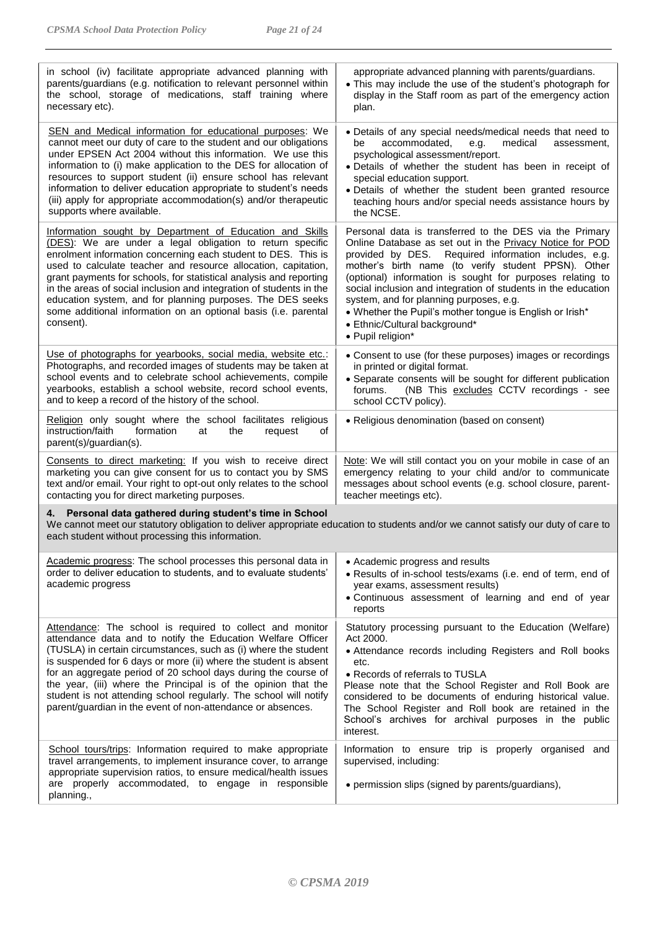| in school (iv) facilitate appropriate advanced planning with<br>parents/guardians (e.g. notification to relevant personnel within<br>the school, storage of medications, staff training where<br>necessary etc).                                                                                                                                                                                                                                                                                                                                    | appropriate advanced planning with parents/guardians.<br>• This may include the use of the student's photograph for<br>display in the Staff room as part of the emergency action<br>plan.                                                                                                                                                                                                                                                                                                                                     |  |  |
|-----------------------------------------------------------------------------------------------------------------------------------------------------------------------------------------------------------------------------------------------------------------------------------------------------------------------------------------------------------------------------------------------------------------------------------------------------------------------------------------------------------------------------------------------------|-------------------------------------------------------------------------------------------------------------------------------------------------------------------------------------------------------------------------------------------------------------------------------------------------------------------------------------------------------------------------------------------------------------------------------------------------------------------------------------------------------------------------------|--|--|
| SEN and Medical information for educational purposes: We<br>cannot meet our duty of care to the student and our obligations<br>under EPSEN Act 2004 without this information. We use this<br>information to (i) make application to the DES for allocation of<br>resources to support student (ii) ensure school has relevant<br>information to deliver education appropriate to student's needs<br>(iii) apply for appropriate accommodation(s) and/or therapeutic<br>supports where available.                                                    | • Details of any special needs/medical needs that need to<br>accommodated,<br>be<br>medical<br>e.g.<br>assessment,<br>psychological assessment/report.<br>. Details of whether the student has been in receipt of<br>special education support.<br>· Details of whether the student been granted resource<br>teaching hours and/or special needs assistance hours by<br>the NCSE.                                                                                                                                             |  |  |
| Information sought by Department of Education and Skills<br>(DES): We are under a legal obligation to return specific<br>enrolment information concerning each student to DES. This is<br>used to calculate teacher and resource allocation, capitation,<br>grant payments for schools, for statistical analysis and reporting<br>in the areas of social inclusion and integration of students in the<br>education system, and for planning purposes. The DES seeks<br>some additional information on an optional basis (i.e. parental<br>consent). | Personal data is transferred to the DES via the Primary<br>Online Database as set out in the Privacy Notice for POD<br>provided by DES. Required information includes, e.g.<br>mother's birth name (to verify student PPSN). Other<br>(optional) information is sought for purposes relating to<br>social inclusion and integration of students in the education<br>system, and for planning purposes, e.g.<br>• Whether the Pupil's mother tongue is English or Irish*<br>• Ethnic/Cultural background*<br>• Pupil religion* |  |  |
| Use of photographs for yearbooks, social media, website etc.:<br>Photographs, and recorded images of students may be taken at<br>school events and to celebrate school achievements, compile<br>yearbooks, establish a school website, record school events,<br>and to keep a record of the history of the school.                                                                                                                                                                                                                                  | • Consent to use (for these purposes) images or recordings<br>in printed or digital format.<br>• Separate consents will be sought for different publication<br>(NB This excludes CCTV recordings - see<br>forums.<br>school CCTV policy).                                                                                                                                                                                                                                                                                     |  |  |
| Religion only sought where the school facilitates religious<br>instruction/faith<br>formation<br>at<br>the<br>request<br>οf<br>parent(s)/guardian(s).                                                                                                                                                                                                                                                                                                                                                                                               | • Religious denomination (based on consent)                                                                                                                                                                                                                                                                                                                                                                                                                                                                                   |  |  |
| Consents to direct marketing: If you wish to receive direct<br>marketing you can give consent for us to contact you by SMS<br>text and/or email. Your right to opt-out only relates to the school<br>contacting you for direct marketing purposes.                                                                                                                                                                                                                                                                                                  | Note: We will still contact you on your mobile in case of an<br>emergency relating to your child and/or to communicate<br>messages about school events (e.g. school closure, parent-<br>teacher meetings etc).                                                                                                                                                                                                                                                                                                                |  |  |
| Personal data gathered during student's time in School<br>4.<br>We cannot meet our statutory obligation to deliver appropriate education to students and/or we cannot satisfy our duty of care to<br>each student without processing this information.                                                                                                                                                                                                                                                                                              |                                                                                                                                                                                                                                                                                                                                                                                                                                                                                                                               |  |  |
| Academic progress: The school processes this personal data in<br>order to deliver education to students, and to evaluate students'<br>academic progress                                                                                                                                                                                                                                                                                                                                                                                             | • Academic progress and results<br>· Results of in-school tests/exams (i.e. end of term, end of<br>year exams, assessment results)<br>• Continuous assessment of learning and end of year<br>reports                                                                                                                                                                                                                                                                                                                          |  |  |
| Attendance: The school is required to collect and monitor<br>attendance data and to notify the Education Welfare Officer<br>(TUSLA) in certain circumstances, such as (i) where the student<br>is suspended for 6 days or more (ii) where the student is absent<br>for an aggregate period of 20 school days during the course of<br>the year, (iii) where the Principal is of the opinion that the<br>student is not attending school regularly. The school will notify<br>parent/guardian in the event of non-attendance or absences.             | Statutory processing pursuant to the Education (Welfare)<br>Act 2000.<br>• Attendance records including Registers and Roll books<br>etc.<br>• Records of referrals to TUSLA<br>Please note that the School Register and Roll Book are<br>considered to be documents of enduring historical value.<br>The School Register and Roll book are retained in the<br>School's archives for archival purposes in the public<br>interest.                                                                                              |  |  |
| School tours/trips: Information required to make appropriate<br>travel arrangements, to implement insurance cover, to arrange<br>appropriate supervision ratios, to ensure medical/health issues<br>are properly accommodated, to engage in responsible<br>planning.,                                                                                                                                                                                                                                                                               | Information to ensure trip is properly organised and<br>supervised, including:<br>• permission slips (signed by parents/guardians),                                                                                                                                                                                                                                                                                                                                                                                           |  |  |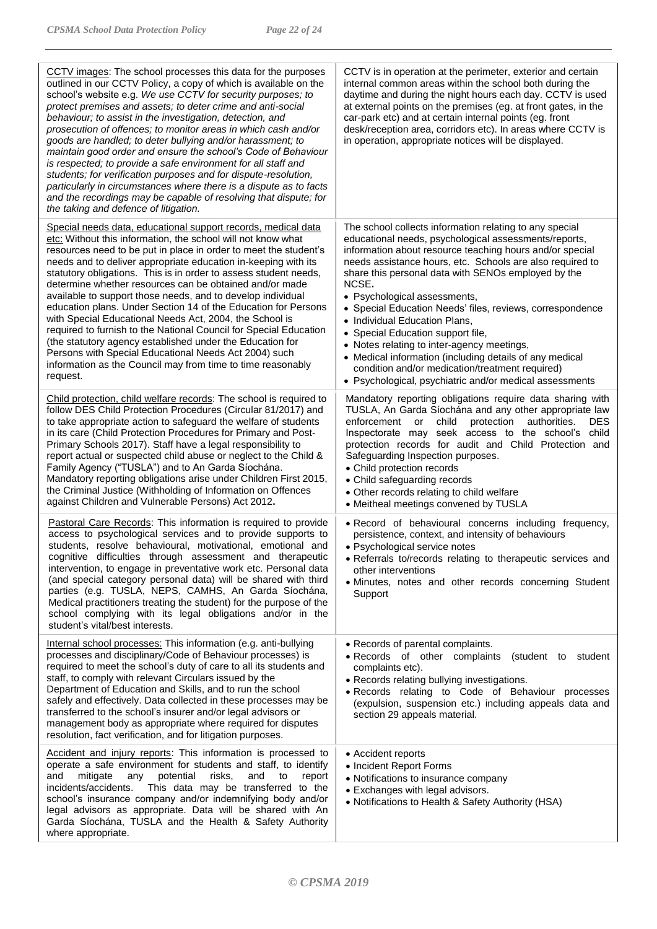| <b>CCTV</b> images: The school processes this data for the purposes<br>outlined in our CCTV Policy, a copy of which is available on the<br>school's website e.g. We use CCTV for security purposes; to<br>protect premises and assets; to deter crime and anti-social<br>behaviour; to assist in the investigation, detection, and<br>prosecution of offences; to monitor areas in which cash and/or<br>goods are handled; to deter bullying and/or harassment; to<br>maintain good order and ensure the school's Code of Behaviour<br>is respected; to provide a safe environment for all staff and<br>students; for verification purposes and for dispute-resolution,<br>particularly in circumstances where there is a dispute as to facts<br>and the recordings may be capable of resolving that dispute; for<br>the taking and defence of litigation.           | CCTV is in operation at the perimeter, exterior and certain<br>internal common areas within the school both during the<br>daytime and during the night hours each day. CCTV is used<br>at external points on the premises (eg. at front gates, in the<br>car-park etc) and at certain internal points (eg. front<br>desk/reception area, corridors etc). In areas where CCTV is<br>in operation, appropriate notices will be displayed.                                                                                                                                                                                                                                                             |
|----------------------------------------------------------------------------------------------------------------------------------------------------------------------------------------------------------------------------------------------------------------------------------------------------------------------------------------------------------------------------------------------------------------------------------------------------------------------------------------------------------------------------------------------------------------------------------------------------------------------------------------------------------------------------------------------------------------------------------------------------------------------------------------------------------------------------------------------------------------------|-----------------------------------------------------------------------------------------------------------------------------------------------------------------------------------------------------------------------------------------------------------------------------------------------------------------------------------------------------------------------------------------------------------------------------------------------------------------------------------------------------------------------------------------------------------------------------------------------------------------------------------------------------------------------------------------------------|
| Special needs data, educational support records, medical data<br>etc: Without this information, the school will not know what<br>resources need to be put in place in order to meet the student's<br>needs and to deliver appropriate education in-keeping with its<br>statutory obligations. This is in order to assess student needs,<br>determine whether resources can be obtained and/or made<br>available to support those needs, and to develop individual<br>education plans. Under Section 14 of the Education for Persons<br>with Special Educational Needs Act, 2004, the School is<br>required to furnish to the National Council for Special Education<br>(the statutory agency established under the Education for<br>Persons with Special Educational Needs Act 2004) such<br>information as the Council may from time to time reasonably<br>request. | The school collects information relating to any special<br>educational needs, psychological assessments/reports,<br>information about resource teaching hours and/or special<br>needs assistance hours, etc. Schools are also required to<br>share this personal data with SENOs employed by the<br>NCSE.<br>• Psychological assessments,<br>• Special Education Needs' files, reviews, correspondence<br>• Individual Education Plans,<br>• Special Education support file,<br>• Notes relating to inter-agency meetings,<br>• Medical information (including details of any medical<br>condition and/or medication/treatment required)<br>• Psychological, psychiatric and/or medical assessments |
| Child protection, child welfare records: The school is required to<br>follow DES Child Protection Procedures (Circular 81/2017) and<br>to take appropriate action to safeguard the welfare of students<br>in its care (Child Protection Procedures for Primary and Post-<br>Primary Schools 2017). Staff have a legal responsibility to<br>report actual or suspected child abuse or neglect to the Child &<br>Family Agency ("TUSLA") and to An Garda Síochána.<br>Mandatory reporting obligations arise under Children First 2015,<br>the Criminal Justice (Withholding of Information on Offences<br>against Children and Vulnerable Persons) Act 2012.                                                                                                                                                                                                           | Mandatory reporting obligations require data sharing with<br>TUSLA, An Garda Síochána and any other appropriate law<br>enforcement<br>$\mathsf{or}$<br>child<br>protection<br>authorities.<br>DES<br>Inspectorate may seek access to the school's child<br>protection records for audit and Child Protection and<br>Safeguarding Inspection purposes.<br>• Child protection records<br>• Child safeguarding records<br>• Other records relating to child welfare<br>• Meitheal meetings convened by TUSLA                                                                                                                                                                                           |
| Pastoral Care Records: This information is required to provide<br>access to psychological services and to provide supports to<br>students, resolve behavioural, motivational, emotional and<br>cognitive difficulties through assessment and therapeutic<br>intervention, to engage in preventative work etc. Personal data<br>(and special category personal data) will be shared with third<br>parties (e.g. TUSLA, NEPS, CAMHS, An Garda Síochána,<br>Medical practitioners treating the student) for the purpose of the<br>school complying with its legal obligations and/or in the<br>student's vital/best interests.                                                                                                                                                                                                                                          | . Record of behavioural concerns including frequency,<br>persistence, context, and intensity of behaviours<br>• Psychological service notes<br>• Referrals to/records relating to therapeutic services and<br>other interventions<br>· Minutes, notes and other records concerning Student<br>Support                                                                                                                                                                                                                                                                                                                                                                                               |
| Internal school processes: This information (e.g. anti-bullying<br>processes and disciplinary/Code of Behaviour processes) is<br>required to meet the school's duty of care to all its students and<br>staff, to comply with relevant Circulars issued by the<br>Department of Education and Skills, and to run the school<br>safely and effectively. Data collected in these processes may be<br>transferred to the school's insurer and/or legal advisors or<br>management body as appropriate where required for disputes<br>resolution, fact verification, and for litigation purposes.                                                                                                                                                                                                                                                                          | • Records of parental complaints.<br>· Records of other complaints<br>(student to student<br>complaints etc).<br>• Records relating bullying investigations.<br>· Records relating to Code of Behaviour processes<br>(expulsion, suspension etc.) including appeals data and<br>section 29 appeals material.                                                                                                                                                                                                                                                                                                                                                                                        |
| Accident and injury reports: This information is processed to<br>operate a safe environment for students and staff, to identify<br>potential<br>risks,<br>and<br>mitigate<br>and<br>to<br>report<br>any<br>incidents/accidents.<br>This data may be transferred to the<br>school's insurance company and/or indemnifying body and/or<br>legal advisors as appropriate. Data will be shared with An<br>Garda Síochána, TUSLA and the Health & Safety Authority<br>where appropriate.                                                                                                                                                                                                                                                                                                                                                                                  | • Accident reports<br>• Incident Report Forms<br>• Notifications to insurance company<br>• Exchanges with legal advisors.<br>• Notifications to Health & Safety Authority (HSA)                                                                                                                                                                                                                                                                                                                                                                                                                                                                                                                     |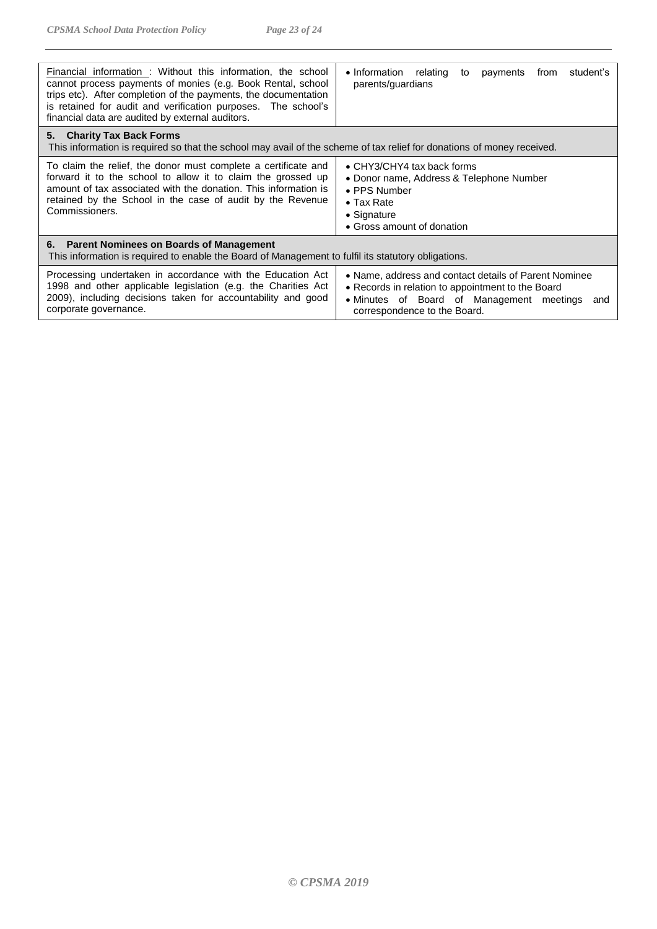| Financial information : Without this information, the school<br>cannot process payments of monies (e.g. Book Rental, school<br>trips etc). After completion of the payments, the documentation<br>is retained for audit and verification purposes. The school's<br>financial data are audited by external auditors. | • Information relating<br>to payments from<br>student's<br>parents/guardians                                                                                                                |  |  |  |
|---------------------------------------------------------------------------------------------------------------------------------------------------------------------------------------------------------------------------------------------------------------------------------------------------------------------|---------------------------------------------------------------------------------------------------------------------------------------------------------------------------------------------|--|--|--|
| 5. Charity Tax Back Forms<br>This information is required so that the school may avail of the scheme of tax relief for donations of money received.                                                                                                                                                                 |                                                                                                                                                                                             |  |  |  |
| To claim the relief, the donor must complete a certificate and<br>forward it to the school to allow it to claim the grossed up<br>amount of tax associated with the donation. This information is<br>retained by the School in the case of audit by the Revenue<br>Commissioners.                                   | • CHY3/CHY4 tax back forms<br>• Donor name, Address & Telephone Number<br>• PPS Number<br>$\bullet$ Tax Rate<br>• Signature<br>• Gross amount of donation                                   |  |  |  |
| 6. Parent Nominees on Boards of Management<br>This information is required to enable the Board of Management to fulfil its statutory obligations.                                                                                                                                                                   |                                                                                                                                                                                             |  |  |  |
| Processing undertaken in accordance with the Education Act<br>1998 and other applicable legislation (e.g. the Charities Act<br>2009), including decisions taken for accountability and good<br>corporate governance.                                                                                                | • Name, address and contact details of Parent Nominee<br>• Records in relation to appointment to the Board<br>• Minutes of Board of Management meetings and<br>correspondence to the Board. |  |  |  |